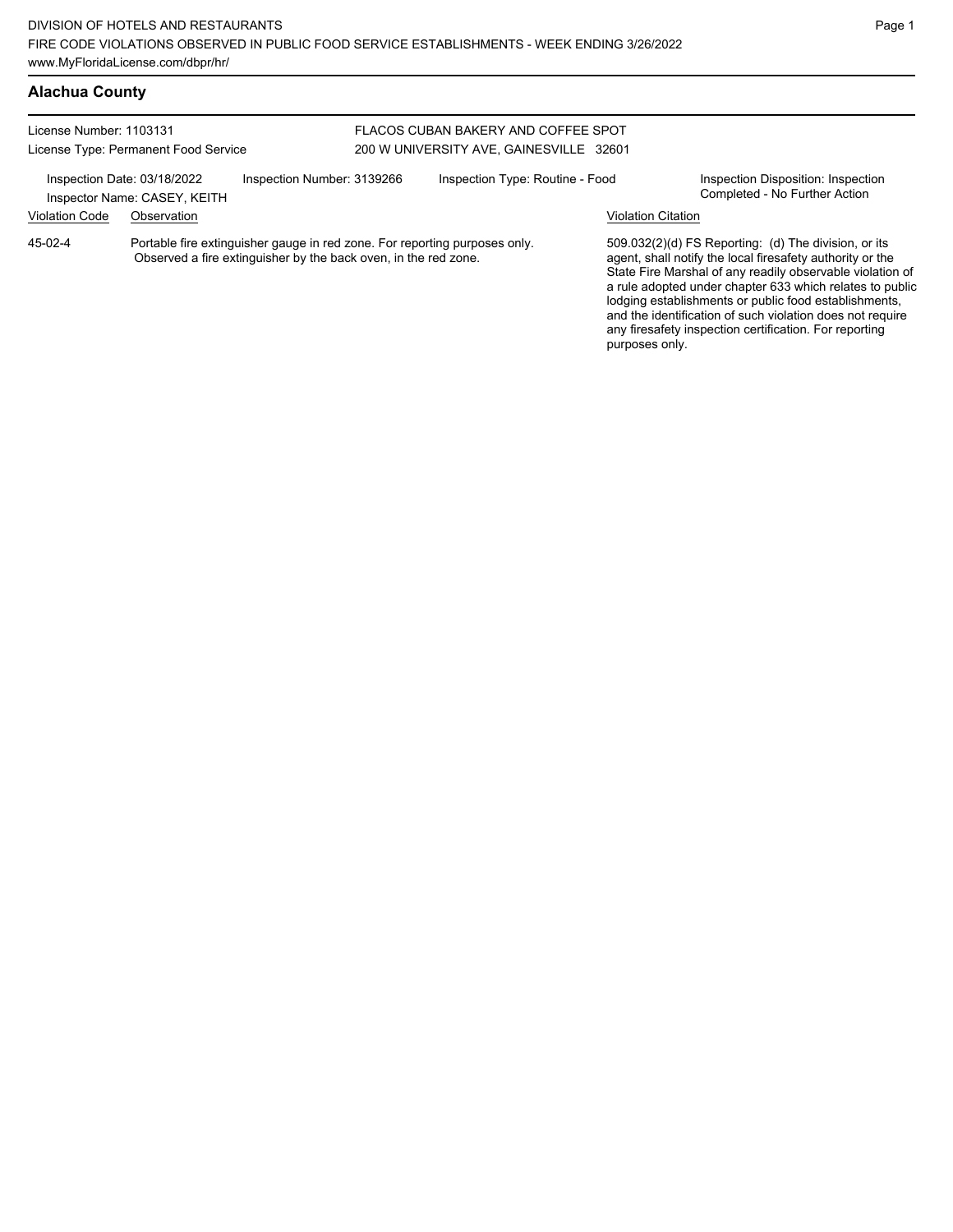### **Alachua County**

License Number: 1103131 License Type: Permanent Food Service

#### FLACOS CUBAN BAKERY AND COFFEE SPOT 200 W UNIVERSITY AVE, GAINESVILLE 32601

Inspection Date: 03/18/2022 Inspection Number: 3139266 Inspection Type: Routine - Food Inspection Disposition: Inspection<br>Inspector Name: CASEV KEITH Inspector Name: CASEY, KEITH Violation Code Observation Violation Citation Portable fire extinguisher gauge in red zone. For reporting purposes only. Observed a fire extinguisher by the back oven, in the red zone. 509.032(2)(d) FS Reporting: (d) The division, or its 45-02-4

agent, shall notify the local firesafety authority or the State Fire Marshal of any readily observable violation of a rule adopted under chapter 633 which relates to public lodging establishments or public food establishments, and the identification of such violation does not require any firesafety inspection certification. For reporting purposes only.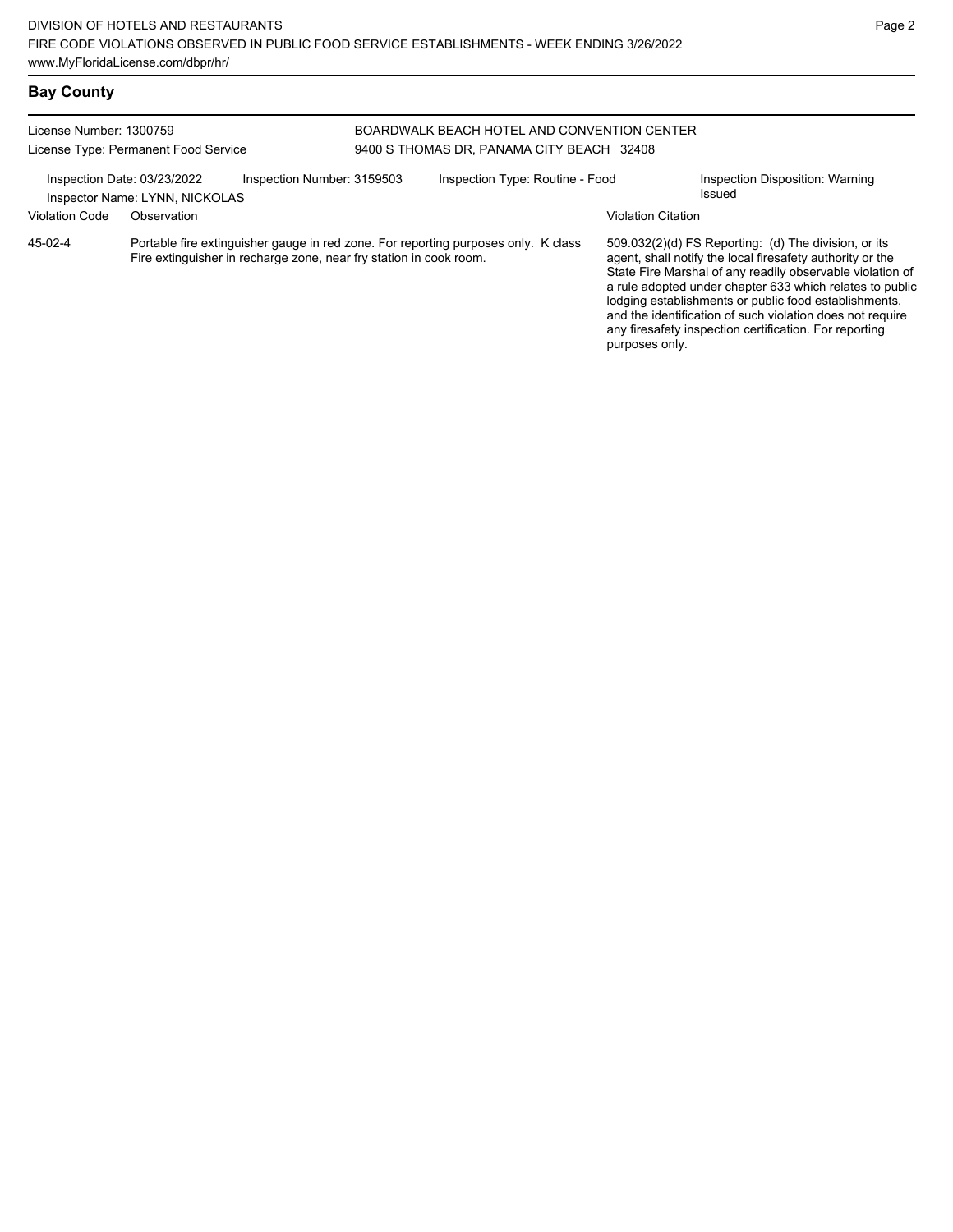# **Bay County**

License Number: 1300759

License Type: Permanent Food Service

#### BOARDWALK BEACH HOTEL AND CONVENTION CENTER 9400 S THOMAS DR, PANAMA CITY BEACH 32408

|                       | Inspection Date: 03/23/2022<br>Inspector Name: LYNN, NICKOLAS | Inspection Number: 3159503                                                                                                                               | Inspection Type: Routine - Food | Inspection Disposition: Warning<br>Issued                                                                                                                                                                                                                                                                                                                        |
|-----------------------|---------------------------------------------------------------|----------------------------------------------------------------------------------------------------------------------------------------------------------|---------------------------------|------------------------------------------------------------------------------------------------------------------------------------------------------------------------------------------------------------------------------------------------------------------------------------------------------------------------------------------------------------------|
| <b>Violation Code</b> | Observation                                                   |                                                                                                                                                          |                                 | Violation Citation                                                                                                                                                                                                                                                                                                                                               |
| 45-02-4               |                                                               | Portable fire extinguisher gauge in red zone. For reporting purposes only. K class<br>Fire extinguisher in recharge zone, near fry station in cook room. |                                 | 509.032(2)(d) FS Reporting: (d) The division, or its<br>agent, shall notify the local firesafety authority or the<br>State Fire Marshal of any readily observable violation of<br>a rule adopted under chapter 633 which relates to public<br>lodging establishments or public food establishments,<br>and the identification of such violation does not require |

any firesafety inspection certification. For reporting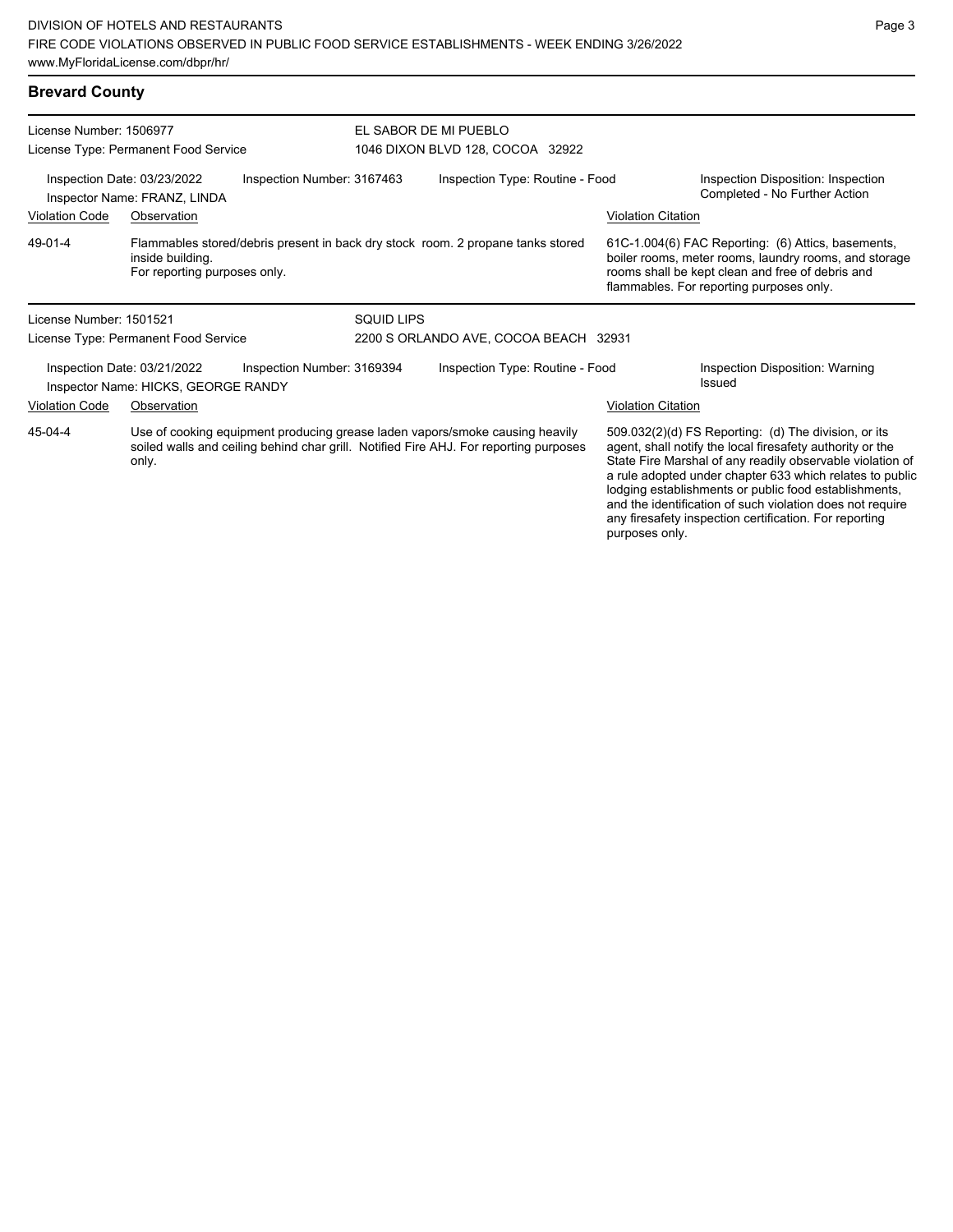# **Brevard County**

| License Number: 1506977<br>License Type: Permanent Food Service                                                                                                                           |                                                                    | EL SABOR DE MI PUEBLO<br>1046 DIXON BLVD 128, COCOA 32922 |                                       |                                                                                 |                                                                                                                                                                                                                                                                                                                                                                                                                            |                                                                                                                                                                                                             |
|-------------------------------------------------------------------------------------------------------------------------------------------------------------------------------------------|--------------------------------------------------------------------|-----------------------------------------------------------|---------------------------------------|---------------------------------------------------------------------------------|----------------------------------------------------------------------------------------------------------------------------------------------------------------------------------------------------------------------------------------------------------------------------------------------------------------------------------------------------------------------------------------------------------------------------|-------------------------------------------------------------------------------------------------------------------------------------------------------------------------------------------------------------|
| Inspection Date: 03/23/2022<br>Inspection Number: 3167463<br>Inspector Name: FRANZ, LINDA                                                                                                 |                                                                    |                                                           | Inspection Type: Routine - Food       |                                                                                 | Inspection Disposition: Inspection<br>Completed - No Further Action                                                                                                                                                                                                                                                                                                                                                        |                                                                                                                                                                                                             |
| <b>Violation Code</b>                                                                                                                                                                     | Observation                                                        |                                                           |                                       |                                                                                 | <b>Violation Citation</b>                                                                                                                                                                                                                                                                                                                                                                                                  |                                                                                                                                                                                                             |
| 49-01-4                                                                                                                                                                                   | inside building.<br>For reporting purposes only.                   |                                                           |                                       | Flammables stored/debris present in back dry stock room. 2 propane tanks stored |                                                                                                                                                                                                                                                                                                                                                                                                                            | 61C-1.004(6) FAC Reporting: (6) Attics, basements,<br>boiler rooms, meter rooms, laundry rooms, and storage<br>rooms shall be kept clean and free of debris and<br>flammables. For reporting purposes only. |
| License Number: 1501521                                                                                                                                                                   |                                                                    |                                                           | <b>SQUID LIPS</b>                     |                                                                                 |                                                                                                                                                                                                                                                                                                                                                                                                                            |                                                                                                                                                                                                             |
|                                                                                                                                                                                           | License Type: Permanent Food Service                               |                                                           | 2200 S ORLANDO AVE, COCOA BEACH 32931 |                                                                                 |                                                                                                                                                                                                                                                                                                                                                                                                                            |                                                                                                                                                                                                             |
|                                                                                                                                                                                           | Inspection Date: 03/21/2022<br>Inspector Name: HICKS, GEORGE RANDY | Inspection Number: 3169394                                |                                       | Inspection Type: Routine - Food                                                 |                                                                                                                                                                                                                                                                                                                                                                                                                            | Inspection Disposition: Warning<br>Issued                                                                                                                                                                   |
| <b>Violation Code</b>                                                                                                                                                                     | Observation                                                        |                                                           |                                       |                                                                                 | <b>Violation Citation</b>                                                                                                                                                                                                                                                                                                                                                                                                  |                                                                                                                                                                                                             |
| 45-04-4<br>Use of cooking equipment producing grease laden vapors/smoke causing heavily<br>soiled walls and ceiling behind char grill. Notified Fire AHJ. For reporting purposes<br>only. |                                                                    |                                                           |                                       | purposes only.                                                                  | 509.032(2)(d) FS Reporting: (d) The division, or its<br>agent, shall notify the local firesafety authority or the<br>State Fire Marshal of any readily observable violation of<br>a rule adopted under chapter 633 which relates to public<br>lodging establishments or public food establishments,<br>and the identification of such violation does not require<br>any firesafety inspection certification. For reporting |                                                                                                                                                                                                             |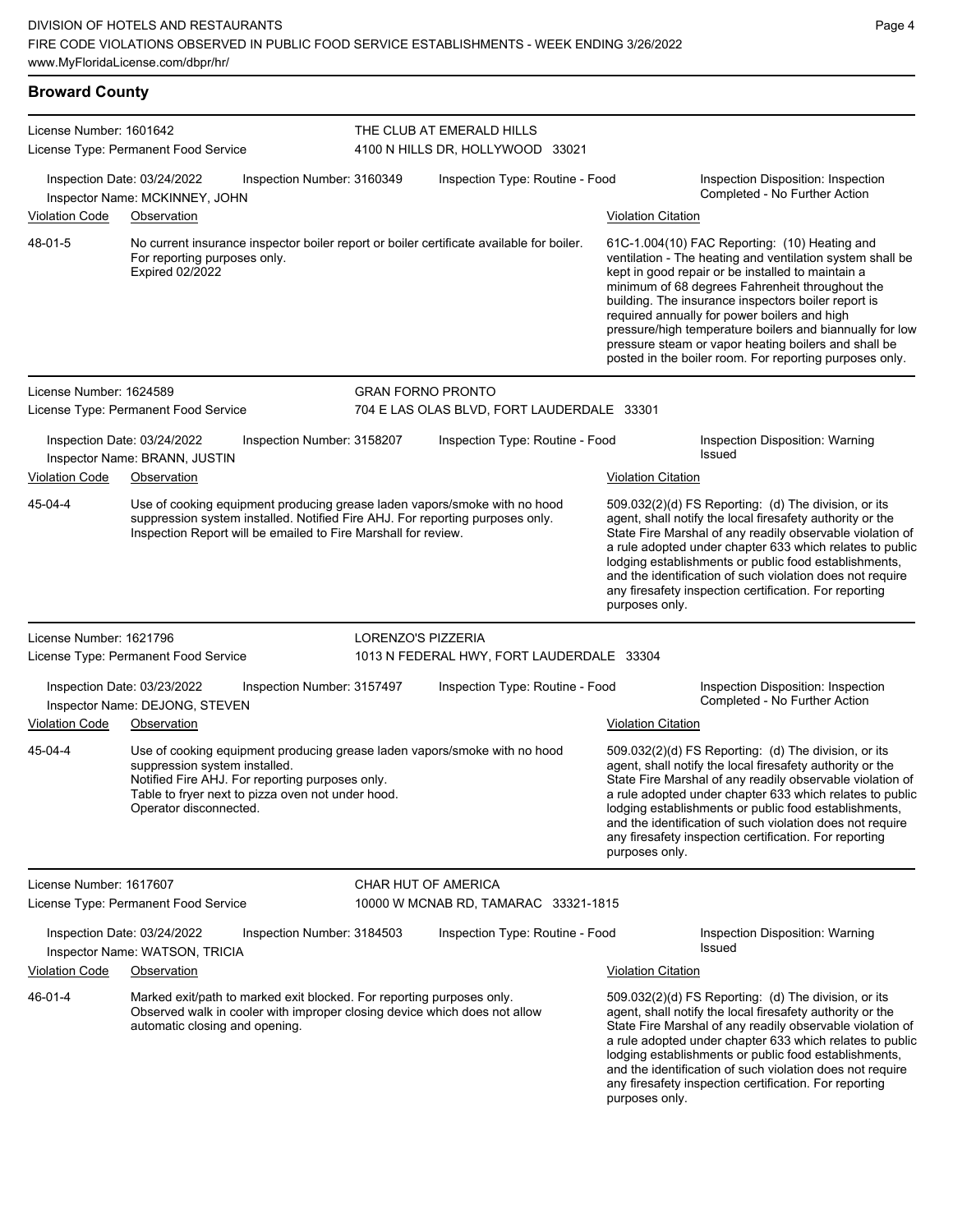| <b>Broward County</b>   |                                                                                                                                                                                                                                              |                                                                                                                                                                                                                                                                                                                                                                                                                               |                                                               |                           |                                                                                                                                                                                                                                                                                                                                                                                                                                                                                                          |
|-------------------------|----------------------------------------------------------------------------------------------------------------------------------------------------------------------------------------------------------------------------------------------|-------------------------------------------------------------------------------------------------------------------------------------------------------------------------------------------------------------------------------------------------------------------------------------------------------------------------------------------------------------------------------------------------------------------------------|---------------------------------------------------------------|---------------------------|----------------------------------------------------------------------------------------------------------------------------------------------------------------------------------------------------------------------------------------------------------------------------------------------------------------------------------------------------------------------------------------------------------------------------------------------------------------------------------------------------------|
| License Number: 1601642 | License Type: Permanent Food Service                                                                                                                                                                                                         |                                                                                                                                                                                                                                                                                                                                                                                                                               | THE CLUB AT EMERALD HILLS<br>4100 N HILLS DR, HOLLYWOOD 33021 |                           |                                                                                                                                                                                                                                                                                                                                                                                                                                                                                                          |
|                         | Inspection Date: 03/24/2022<br>Inspection Number: 3160349<br>Inspector Name: MCKINNEY, JOHN                                                                                                                                                  |                                                                                                                                                                                                                                                                                                                                                                                                                               | Inspection Type: Routine - Food                               |                           | Inspection Disposition: Inspection<br>Completed - No Further Action                                                                                                                                                                                                                                                                                                                                                                                                                                      |
| <b>Violation Code</b>   | Observation                                                                                                                                                                                                                                  |                                                                                                                                                                                                                                                                                                                                                                                                                               |                                                               | <b>Violation Citation</b> |                                                                                                                                                                                                                                                                                                                                                                                                                                                                                                          |
| 48-01-5                 | No current insurance inspector boiler report or boiler certificate available for boiler.<br>For reporting purposes only.<br><b>Expired 02/2022</b>                                                                                           |                                                                                                                                                                                                                                                                                                                                                                                                                               |                                                               |                           | 61C-1.004(10) FAC Reporting: (10) Heating and<br>ventilation - The heating and ventilation system shall be<br>kept in good repair or be installed to maintain a<br>minimum of 68 degrees Fahrenheit throughout the<br>building. The insurance inspectors boiler report is<br>required annually for power boilers and high<br>pressure/high temperature boilers and biannually for low<br>pressure steam or vapor heating boilers and shall be<br>posted in the boiler room. For reporting purposes only. |
| License Number: 1624589 |                                                                                                                                                                                                                                              |                                                                                                                                                                                                                                                                                                                                                                                                                               | <b>GRAN FORNO PRONTO</b>                                      |                           |                                                                                                                                                                                                                                                                                                                                                                                                                                                                                                          |
|                         | License Type: Permanent Food Service                                                                                                                                                                                                         |                                                                                                                                                                                                                                                                                                                                                                                                                               | 704 E LAS OLAS BLVD, FORT LAUDERDALE 33301                    |                           |                                                                                                                                                                                                                                                                                                                                                                                                                                                                                                          |
|                         | Inspection Date: 03/24/2022<br>Inspection Number: 3158207<br>Inspector Name: BRANN, JUSTIN                                                                                                                                                   |                                                                                                                                                                                                                                                                                                                                                                                                                               | Inspection Type: Routine - Food                               |                           | Inspection Disposition: Warning<br><b>Issued</b>                                                                                                                                                                                                                                                                                                                                                                                                                                                         |
| <b>Violation Code</b>   | Observation                                                                                                                                                                                                                                  |                                                                                                                                                                                                                                                                                                                                                                                                                               |                                                               | <b>Violation Citation</b> |                                                                                                                                                                                                                                                                                                                                                                                                                                                                                                          |
| 45-04-4                 |                                                                                                                                                                                                                                              | Use of cooking equipment producing grease laden vapors/smoke with no hood<br>509.032(2)(d) FS Reporting: (d) The division, or its<br>suppression system installed. Notified Fire AHJ. For reporting purposes only.<br>agent, shall notify the local firesafety authority or the<br>Inspection Report will be emailed to Fire Marshall for review.<br>any firesafety inspection certification. For reporting<br>purposes only. |                                                               |                           | State Fire Marshal of any readily observable violation of<br>a rule adopted under chapter 633 which relates to public<br>lodging establishments or public food establishments,<br>and the identification of such violation does not require                                                                                                                                                                                                                                                              |
| License Number: 1621796 |                                                                                                                                                                                                                                              |                                                                                                                                                                                                                                                                                                                                                                                                                               | LORENZO'S PIZZERIA                                            |                           |                                                                                                                                                                                                                                                                                                                                                                                                                                                                                                          |
|                         | License Type: Permanent Food Service                                                                                                                                                                                                         |                                                                                                                                                                                                                                                                                                                                                                                                                               | 1013 N FEDERAL HWY, FORT LAUDERDALE 33304                     |                           |                                                                                                                                                                                                                                                                                                                                                                                                                                                                                                          |
|                         | Inspection Date: 03/23/2022<br>Inspection Number: 3157497<br>Inspector Name: DEJONG, STEVEN                                                                                                                                                  |                                                                                                                                                                                                                                                                                                                                                                                                                               | Inspection Type: Routine - Food                               |                           | Inspection Disposition: Inspection<br>Completed - No Further Action                                                                                                                                                                                                                                                                                                                                                                                                                                      |
| <b>Violation Code</b>   | Observation                                                                                                                                                                                                                                  |                                                                                                                                                                                                                                                                                                                                                                                                                               |                                                               | <b>Violation Citation</b> |                                                                                                                                                                                                                                                                                                                                                                                                                                                                                                          |
| 45-04-4                 | Use of cooking equipment producing grease laden vapors/smoke with no hood<br>suppression system installed.<br>Notified Fire AHJ. For reporting purposes only.<br>Table to fryer next to pizza oven not under hood.<br>Operator disconnected. |                                                                                                                                                                                                                                                                                                                                                                                                                               |                                                               | purposes only.            | 509.032(2)(d) FS Reporting: (d) The division, or its<br>agent, shall notify the local firesafety authority or the<br>State Fire Marshal of any readily observable violation of<br>a rule adopted under chapter 633 which relates to public<br>lodging establishments or public food establishments,<br>and the identification of such violation does not require<br>any firesafety inspection certification. For reporting                                                                               |
| License Number: 1617607 | License Type: Permanent Food Service                                                                                                                                                                                                         |                                                                                                                                                                                                                                                                                                                                                                                                                               | CHAR HUT OF AMERICA<br>10000 W MCNAB RD, TAMARAC 33321-1815   |                           |                                                                                                                                                                                                                                                                                                                                                                                                                                                                                                          |
|                         | Inspection Date: 03/24/2022<br>Inspection Number: 3184503<br>Inspector Name: WATSON, TRICIA                                                                                                                                                  |                                                                                                                                                                                                                                                                                                                                                                                                                               | Inspection Type: Routine - Food                               |                           | Inspection Disposition: Warning<br>Issued                                                                                                                                                                                                                                                                                                                                                                                                                                                                |
| Violation Code          | Observation                                                                                                                                                                                                                                  |                                                                                                                                                                                                                                                                                                                                                                                                                               |                                                               | Violation Citation        |                                                                                                                                                                                                                                                                                                                                                                                                                                                                                                          |
| 46-01-4                 | Marked exit/path to marked exit blocked. For reporting purposes only.<br>Observed walk in cooler with improper closing device which does not allow<br>automatic closing and opening.                                                         |                                                                                                                                                                                                                                                                                                                                                                                                                               |                                                               | purposes only.            | 509.032(2)(d) FS Reporting: (d) The division, or its<br>agent, shall notify the local firesafety authority or the<br>State Fire Marshal of any readily observable violation of<br>a rule adopted under chapter 633 which relates to public<br>lodging establishments or public food establishments,<br>and the identification of such violation does not require<br>any firesafety inspection certification. For reporting                                                                               |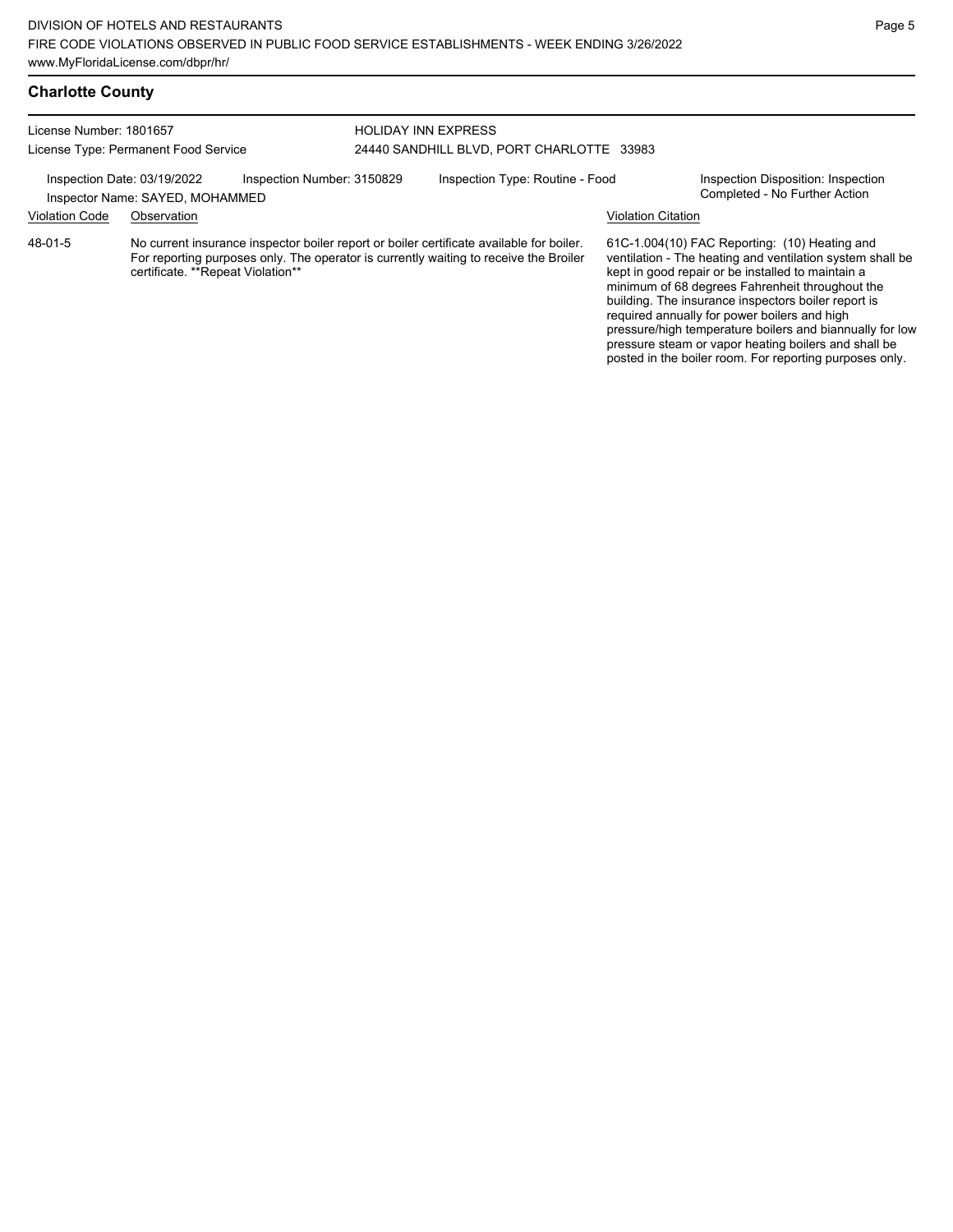## **Charlotte County**

| License Number: 1801657              |                                                                | <b>HOLIDAY INN EXPRESS</b> |                                           |                                                                                                                                                                                   |                           |                                                                                                                                                                                                                                                                                                                           |
|--------------------------------------|----------------------------------------------------------------|----------------------------|-------------------------------------------|-----------------------------------------------------------------------------------------------------------------------------------------------------------------------------------|---------------------------|---------------------------------------------------------------------------------------------------------------------------------------------------------------------------------------------------------------------------------------------------------------------------------------------------------------------------|
| License Type: Permanent Food Service |                                                                |                            | 24440 SANDHILL BLVD, PORT CHARLOTTE 33983 |                                                                                                                                                                                   |                           |                                                                                                                                                                                                                                                                                                                           |
|                                      | Inspection Date: 03/19/2022<br>Inspector Name: SAYED, MOHAMMED | Inspection Number: 3150829 |                                           | Inspection Type: Routine - Food                                                                                                                                                   |                           | Inspection Disposition: Inspection<br>Completed - No Further Action                                                                                                                                                                                                                                                       |
| <b>Violation Code</b>                | Observation                                                    |                            |                                           |                                                                                                                                                                                   | <b>Violation Citation</b> |                                                                                                                                                                                                                                                                                                                           |
| 48-01-5                              | certificate. **Repeat Violation**                              |                            |                                           | No current insurance inspector boiler report or boiler certificate available for boiler.<br>For reporting purposes only. The operator is currently waiting to receive the Broiler |                           | 61C-1.004(10) FAC Reporting: (10) Heating and<br>ventilation - The heating and ventilation system shall be<br>kept in good repair or be installed to maintain a<br>minimum of 68 degrees Fahrenheit throughout the<br>building. The insurance inspectors boiler report is<br>required annually for power boilers and high |

Page 5

pressure/high temperature boilers and biannually for low pressure steam or vapor heating boilers and shall be posted in the boiler room. For reporting purposes only.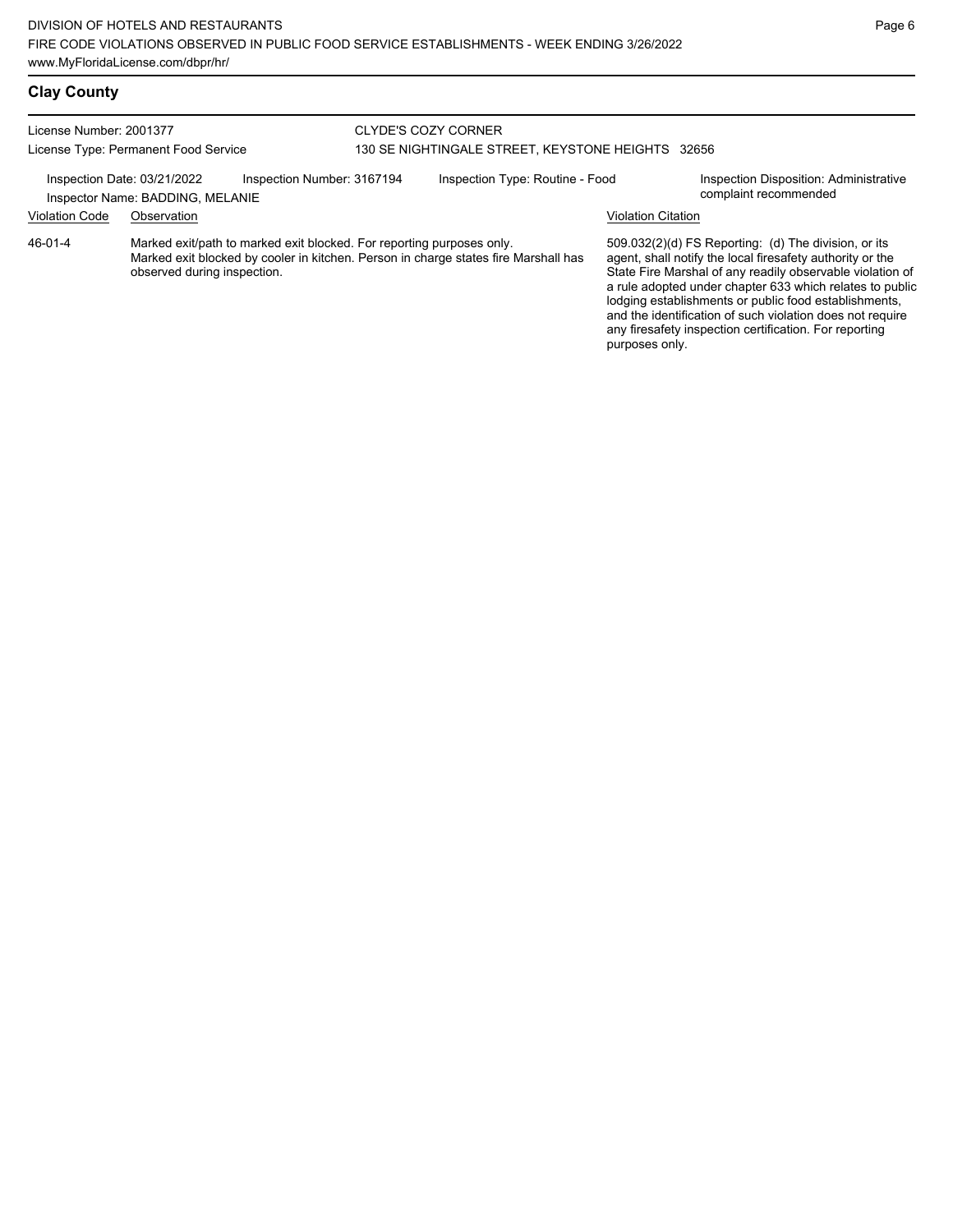# **Clay County**

| License Number: 2001377<br>License Type: Permanent Food Service |                                                                 | <b>CLYDE'S COZY CORNER</b>                                            | 130 SE NIGHTINGALE STREET, KEYSTONE HEIGHTS 32656 |                                                                                     |                           |                                                                                                                                                                                                                                                                                                                                                                                                                            |
|-----------------------------------------------------------------|-----------------------------------------------------------------|-----------------------------------------------------------------------|---------------------------------------------------|-------------------------------------------------------------------------------------|---------------------------|----------------------------------------------------------------------------------------------------------------------------------------------------------------------------------------------------------------------------------------------------------------------------------------------------------------------------------------------------------------------------------------------------------------------------|
|                                                                 | Inspection Date: 03/21/2022<br>Inspector Name: BADDING, MELANIE | Inspection Number: 3167194                                            |                                                   | Inspection Type: Routine - Food                                                     |                           | Inspection Disposition: Administrative<br>complaint recommended                                                                                                                                                                                                                                                                                                                                                            |
| <b>Violation Code</b>                                           | Observation                                                     |                                                                       |                                                   |                                                                                     | <b>Violation Citation</b> |                                                                                                                                                                                                                                                                                                                                                                                                                            |
| 46-01-4                                                         | observed during inspection.                                     | Marked exit/path to marked exit blocked. For reporting purposes only. |                                                   | Marked exit blocked by cooler in kitchen. Person in charge states fire Marshall has | purposes only.            | 509.032(2)(d) FS Reporting: (d) The division, or its<br>agent, shall notify the local firesafety authority or the<br>State Fire Marshal of any readily observable violation of<br>a rule adopted under chapter 633 which relates to public<br>lodging establishments or public food establishments,<br>and the identification of such violation does not require<br>any firesafety inspection certification. For reporting |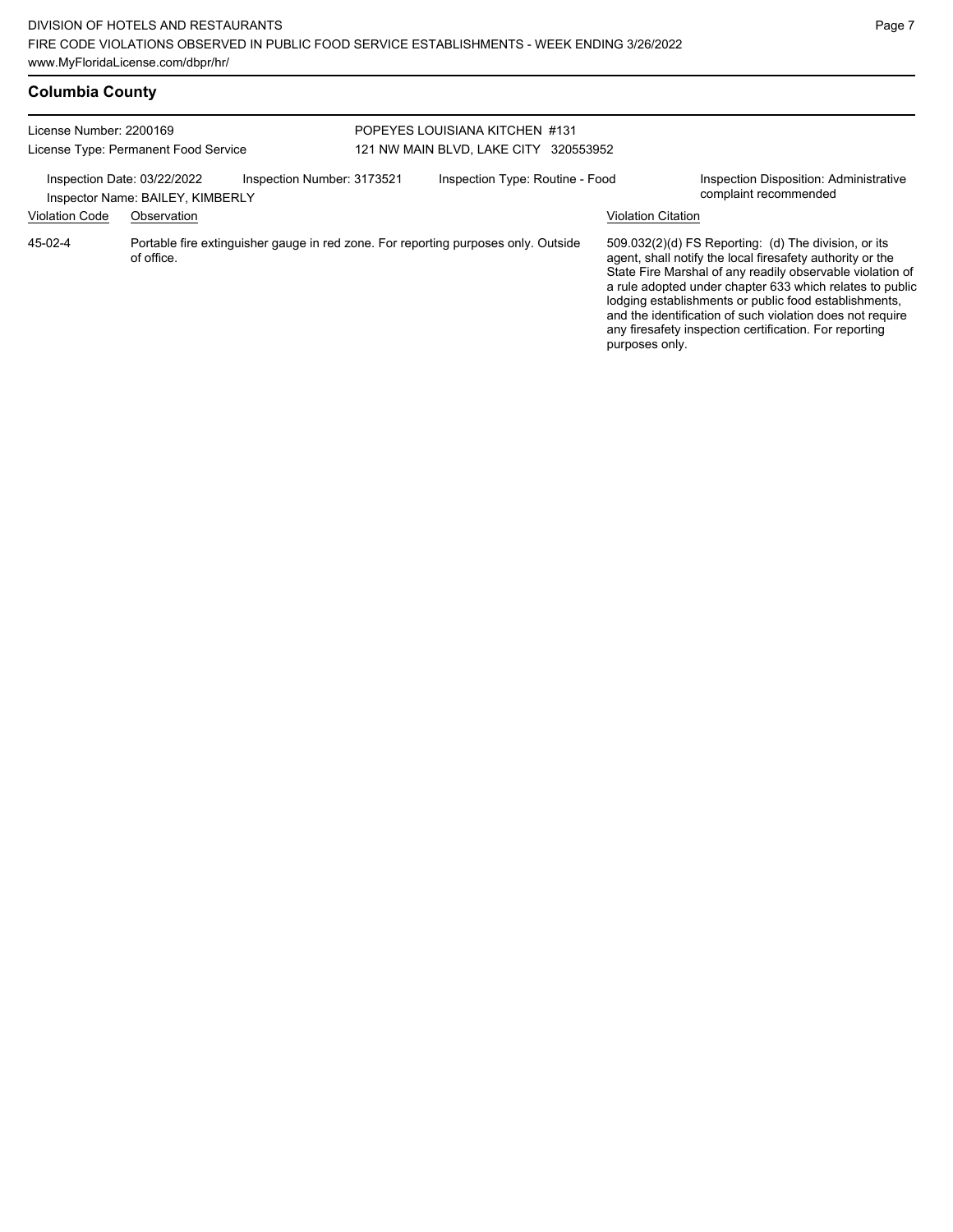| <b>Columbia County</b> |  |  |
|------------------------|--|--|
|                        |  |  |

| License Number: 2200169              |                                  |                            | POPEYES LOUISIANA KITCHEN #131           |                                                                                    |  |                           |                                                                                                                                                                                                                                                                                                                                                                                                                            |
|--------------------------------------|----------------------------------|----------------------------|------------------------------------------|------------------------------------------------------------------------------------|--|---------------------------|----------------------------------------------------------------------------------------------------------------------------------------------------------------------------------------------------------------------------------------------------------------------------------------------------------------------------------------------------------------------------------------------------------------------------|
| License Type: Permanent Food Service |                                  |                            | 121 NW MAIN BLVD, LAKE CITY<br>320553952 |                                                                                    |  |                           |                                                                                                                                                                                                                                                                                                                                                                                                                            |
| Inspection Date: 03/22/2022          | Inspector Name: BAILEY, KIMBERLY | Inspection Number: 3173521 |                                          | Inspection Type: Routine - Food                                                    |  |                           | Inspection Disposition: Administrative<br>complaint recommended                                                                                                                                                                                                                                                                                                                                                            |
| <b>Violation Code</b>                | Observation                      |                            |                                          |                                                                                    |  | <b>Violation Citation</b> |                                                                                                                                                                                                                                                                                                                                                                                                                            |
| 45-02-4                              | of office.                       |                            |                                          | Portable fire extinguisher gauge in red zone. For reporting purposes only. Outside |  | purposes only.            | 509.032(2)(d) FS Reporting: (d) The division, or its<br>agent, shall notify the local firesafety authority or the<br>State Fire Marshal of any readily observable violation of<br>a rule adopted under chapter 633 which relates to public<br>lodging establishments or public food establishments,<br>and the identification of such violation does not require<br>any firesafety inspection certification. For reporting |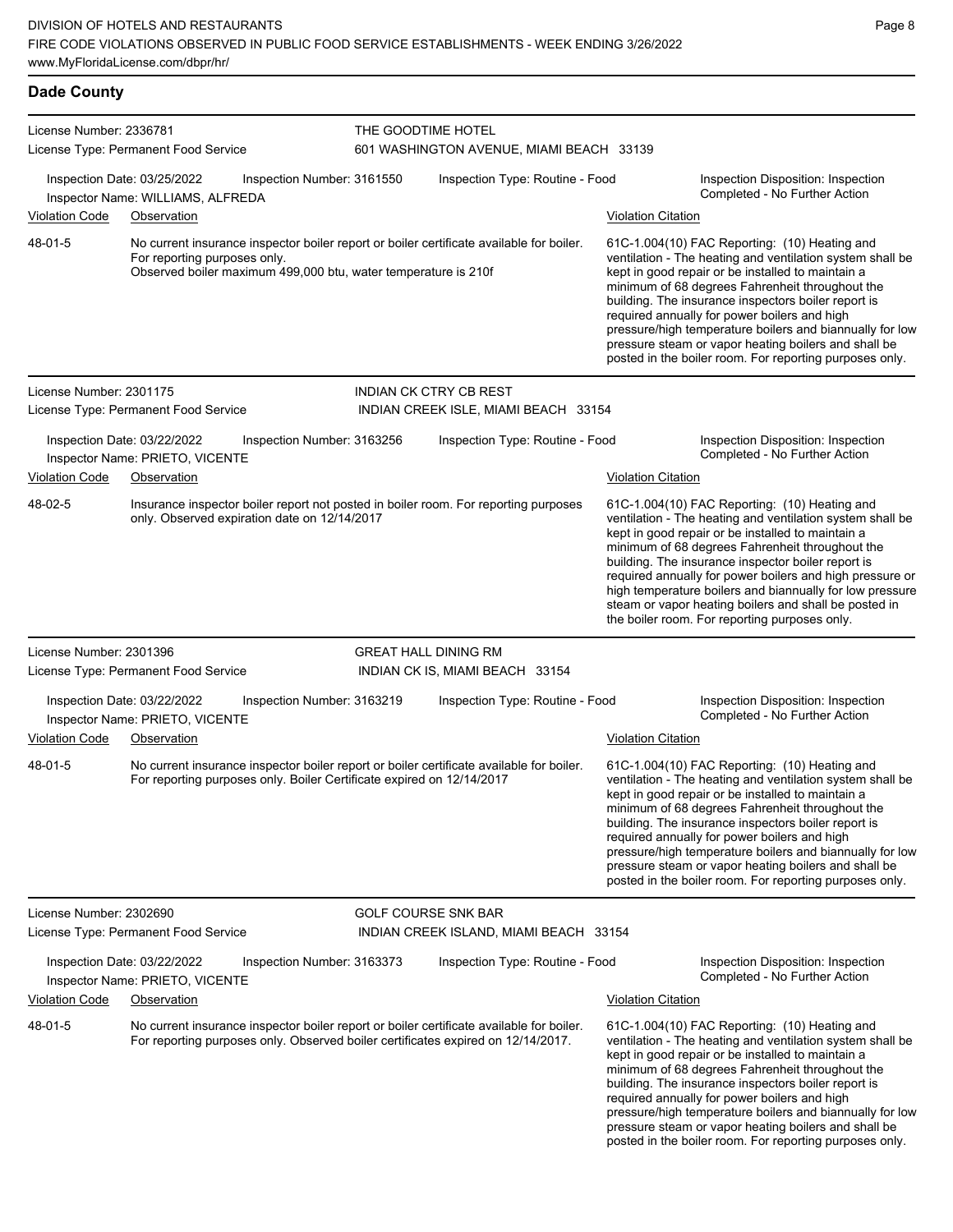| <b>Dade County</b>      |                                                                                                |                            |                                                                                          |                           |                                                                                                                                                                                                                                                                                                                                                                                                                                                                                                            |
|-------------------------|------------------------------------------------------------------------------------------------|----------------------------|------------------------------------------------------------------------------------------|---------------------------|------------------------------------------------------------------------------------------------------------------------------------------------------------------------------------------------------------------------------------------------------------------------------------------------------------------------------------------------------------------------------------------------------------------------------------------------------------------------------------------------------------|
| License Number: 2336781 | License Type: Permanent Food Service                                                           | THE GOODTIME HOTEL         | 601 WASHINGTON AVENUE, MIAMI BEACH 33139                                                 |                           |                                                                                                                                                                                                                                                                                                                                                                                                                                                                                                            |
|                         | Inspection Date: 03/25/2022<br>Inspector Name: WILLIAMS, ALFREDA                               | Inspection Number: 3161550 | Inspection Type: Routine - Food                                                          |                           | Inspection Disposition: Inspection<br>Completed - No Further Action                                                                                                                                                                                                                                                                                                                                                                                                                                        |
| <b>Violation Code</b>   | Observation                                                                                    |                            |                                                                                          | <b>Violation Citation</b> |                                                                                                                                                                                                                                                                                                                                                                                                                                                                                                            |
| 48-01-5                 | For reporting purposes only.<br>Observed boiler maximum 499,000 btu, water temperature is 210f |                            | No current insurance inspector boiler report or boiler certificate available for boiler. |                           | 61C-1.004(10) FAC Reporting: (10) Heating and<br>ventilation - The heating and ventilation system shall be<br>kept in good repair or be installed to maintain a<br>minimum of 68 degrees Fahrenheit throughout the<br>building. The insurance inspectors boiler report is<br>required annually for power boilers and high<br>pressure/high temperature boilers and biannually for low<br>pressure steam or vapor heating boilers and shall be<br>posted in the boiler room. For reporting purposes only.   |
| License Number: 2301175 |                                                                                                |                            | INDIAN CK CTRY CB REST                                                                   |                           |                                                                                                                                                                                                                                                                                                                                                                                                                                                                                                            |
|                         | License Type: Permanent Food Service                                                           |                            | INDIAN CREEK ISLE, MIAMI BEACH 33154                                                     |                           |                                                                                                                                                                                                                                                                                                                                                                                                                                                                                                            |
|                         | Inspection Date: 03/22/2022<br>Inspector Name: PRIETO, VICENTE                                 | Inspection Number: 3163256 | Inspection Type: Routine - Food                                                          |                           | Inspection Disposition: Inspection<br>Completed - No Further Action                                                                                                                                                                                                                                                                                                                                                                                                                                        |
| <b>Violation Code</b>   | Observation                                                                                    |                            |                                                                                          | <b>Violation Citation</b> |                                                                                                                                                                                                                                                                                                                                                                                                                                                                                                            |
| 48-02-5                 | only. Observed expiration date on 12/14/2017                                                   |                            | Insurance inspector boiler report not posted in boiler room. For reporting purposes      |                           | 61C-1.004(10) FAC Reporting: (10) Heating and<br>ventilation - The heating and ventilation system shall be<br>kept in good repair or be installed to maintain a<br>minimum of 68 degrees Fahrenheit throughout the<br>building. The insurance inspector boiler report is<br>required annually for power boilers and high pressure or<br>high temperature boilers and biannually for low pressure<br>steam or vapor heating boilers and shall be posted in<br>the boiler room. For reporting purposes only. |
| License Number: 2301396 |                                                                                                |                            | <b>GREAT HALL DINING RM</b>                                                              |                           |                                                                                                                                                                                                                                                                                                                                                                                                                                                                                                            |
|                         | License Type: Permanent Food Service                                                           |                            | INDIAN CK IS, MIAMI BEACH 33154                                                          |                           |                                                                                                                                                                                                                                                                                                                                                                                                                                                                                                            |
| <b>Violation Code</b>   | Inspection Date: 03/22/2022<br>Inspector Name: PRIETO, VICENTE<br>Observation                  | Inspection Number: 3163219 | Inspection Type: Routine - Food                                                          | <b>Violation Citation</b> | Inspection Disposition: Inspection<br>Completed - No Further Action                                                                                                                                                                                                                                                                                                                                                                                                                                        |
| 48-01-5                 | For reporting purposes only. Boiler Certificate expired on 12/14/2017                          |                            | No current insurance inspector boiler report or boiler certificate available for boiler. |                           | 61C-1.004(10) FAC Reporting: (10) Heating and<br>ventilation - The heating and ventilation system shall be<br>kept in good repair or be installed to maintain a<br>minimum of 68 degrees Fahrenheit throughout the<br>building. The insurance inspectors boiler report is<br>required annually for power boilers and high<br>pressure/high temperature boilers and biannually for low<br>pressure steam or vapor heating boilers and shall be<br>posted in the boiler room. For reporting purposes only.   |
| License Number: 2302690 |                                                                                                |                            | <b>GOLF COURSE SNK BAR</b>                                                               |                           |                                                                                                                                                                                                                                                                                                                                                                                                                                                                                                            |
|                         | License Type: Permanent Food Service                                                           |                            | INDIAN CREEK ISLAND, MIAMI BEACH 33154                                                   |                           |                                                                                                                                                                                                                                                                                                                                                                                                                                                                                                            |
|                         | Inspection Date: 03/22/2022<br>Inspector Name: PRIETO, VICENTE                                 | Inspection Number: 3163373 | Inspection Type: Routine - Food                                                          |                           | Inspection Disposition: Inspection<br>Completed - No Further Action                                                                                                                                                                                                                                                                                                                                                                                                                                        |
| <b>Violation Code</b>   | Observation                                                                                    |                            |                                                                                          | <b>Violation Citation</b> |                                                                                                                                                                                                                                                                                                                                                                                                                                                                                                            |
| 48-01-5                 | For reporting purposes only. Observed boiler certificates expired on 12/14/2017.               |                            | No current insurance inspector boiler report or boiler certificate available for boiler. |                           | 61C-1.004(10) FAC Reporting: (10) Heating and<br>ventilation - The heating and ventilation system shall be<br>kept in good repair or be installed to maintain a<br>minimum of 68 degrees Fahrenheit throughout the<br>building. The insurance inspectors boiler report is<br>required annually for power boilers and high<br>pressure/high temperature boilers and biannually for low<br>pressure steam or vapor heating boilers and shall be                                                              |

posted in the boiler room. For reporting purposes only.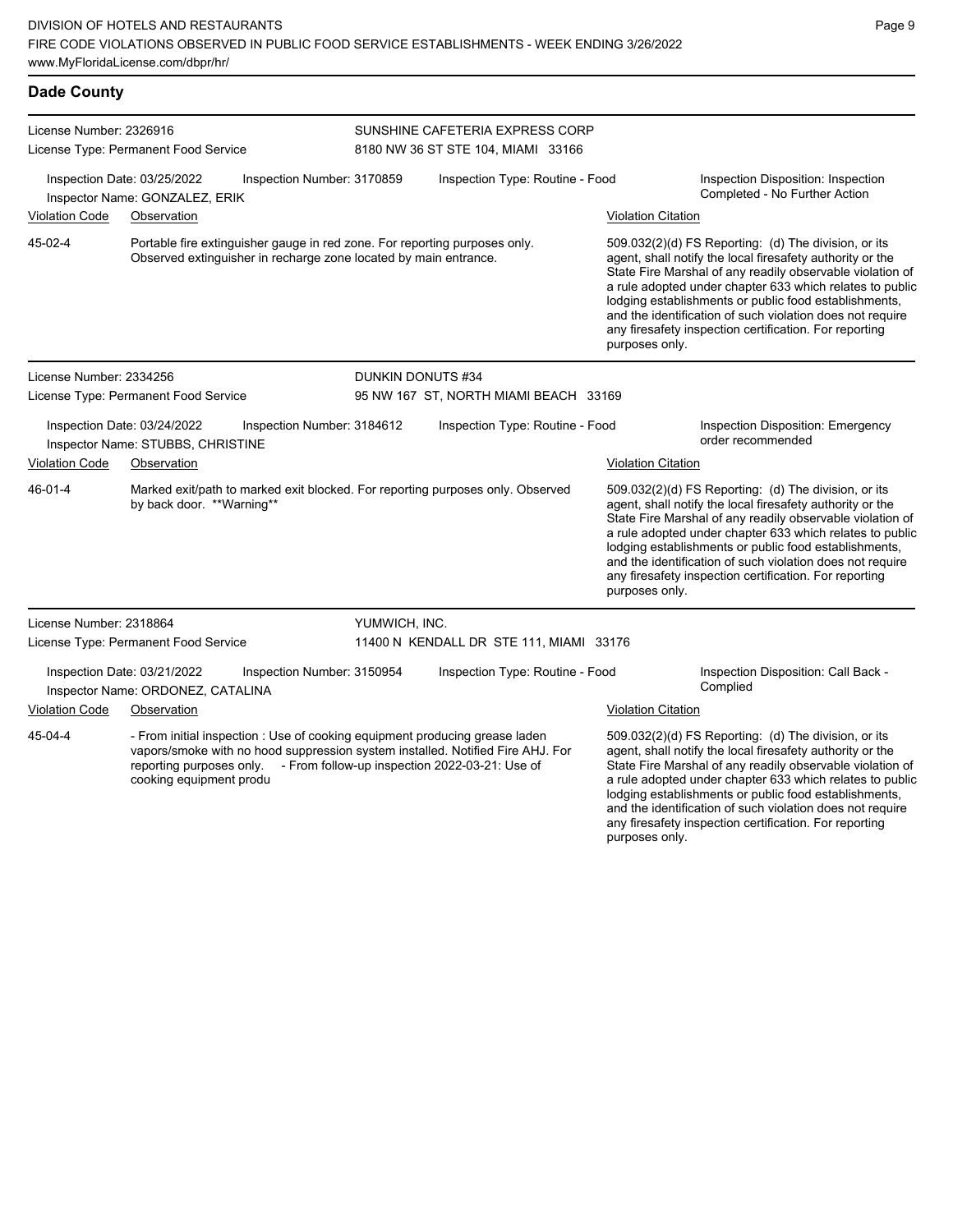| <b>Dade County</b>                                              |                                                                                                                                                                                                                      |                                                                                                                                                                  |                                                                       |                                                                                                                                                                                                                                                                                                                                                                                                                            |                                                                                                                                                                                                                                                                                                                                                                                                                            |  |
|-----------------------------------------------------------------|----------------------------------------------------------------------------------------------------------------------------------------------------------------------------------------------------------------------|------------------------------------------------------------------------------------------------------------------------------------------------------------------|-----------------------------------------------------------------------|----------------------------------------------------------------------------------------------------------------------------------------------------------------------------------------------------------------------------------------------------------------------------------------------------------------------------------------------------------------------------------------------------------------------------|----------------------------------------------------------------------------------------------------------------------------------------------------------------------------------------------------------------------------------------------------------------------------------------------------------------------------------------------------------------------------------------------------------------------------|--|
| License Number: 2326916<br>License Type: Permanent Food Service |                                                                                                                                                                                                                      |                                                                                                                                                                  | SUNSHINE CAFETERIA EXPRESS CORP<br>8180 NW 36 ST STE 104, MIAMI 33166 |                                                                                                                                                                                                                                                                                                                                                                                                                            |                                                                                                                                                                                                                                                                                                                                                                                                                            |  |
|                                                                 | Inspection Date: 03/25/2022<br>Inspector Name: GONZALEZ, ERIK                                                                                                                                                        | Inspection Number: 3170859                                                                                                                                       | Inspection Type: Routine - Food                                       |                                                                                                                                                                                                                                                                                                                                                                                                                            | Inspection Disposition: Inspection<br>Completed - No Further Action                                                                                                                                                                                                                                                                                                                                                        |  |
| Violation Code                                                  | Observation                                                                                                                                                                                                          |                                                                                                                                                                  |                                                                       | <b>Violation Citation</b>                                                                                                                                                                                                                                                                                                                                                                                                  |                                                                                                                                                                                                                                                                                                                                                                                                                            |  |
| 45-02-4                                                         |                                                                                                                                                                                                                      | Portable fire extinguisher gauge in red zone. For reporting purposes only.<br>Observed extinguisher in recharge zone located by main entrance.<br>purposes only. |                                                                       | 509.032(2)(d) FS Reporting: (d) The division, or its<br>agent, shall notify the local firesafety authority or the<br>State Fire Marshal of any readily observable violation of<br>a rule adopted under chapter 633 which relates to public<br>lodging establishments or public food establishments,<br>and the identification of such violation does not require<br>any firesafety inspection certification. For reporting |                                                                                                                                                                                                                                                                                                                                                                                                                            |  |
| License Number: 2334256                                         |                                                                                                                                                                                                                      | DUNKIN DONUTS #34                                                                                                                                                |                                                                       |                                                                                                                                                                                                                                                                                                                                                                                                                            |                                                                                                                                                                                                                                                                                                                                                                                                                            |  |
|                                                                 | License Type: Permanent Food Service                                                                                                                                                                                 |                                                                                                                                                                  | 95 NW 167 ST, NORTH MIAMI BEACH 33169                                 |                                                                                                                                                                                                                                                                                                                                                                                                                            |                                                                                                                                                                                                                                                                                                                                                                                                                            |  |
|                                                                 | Inspection Date: 03/24/2022<br>Inspector Name: STUBBS, CHRISTINE                                                                                                                                                     | Inspection Number: 3184612                                                                                                                                       | Inspection Type: Routine - Food                                       |                                                                                                                                                                                                                                                                                                                                                                                                                            | Inspection Disposition: Emergency<br>order recommended                                                                                                                                                                                                                                                                                                                                                                     |  |
| <b>Violation Code</b>                                           | Observation                                                                                                                                                                                                          |                                                                                                                                                                  |                                                                       | <b>Violation Citation</b>                                                                                                                                                                                                                                                                                                                                                                                                  |                                                                                                                                                                                                                                                                                                                                                                                                                            |  |
| 46-01-4                                                         | Marked exit/path to marked exit blocked. For reporting purposes only. Observed<br>by back door. **Warning**                                                                                                          |                                                                                                                                                                  |                                                                       | purposes only.                                                                                                                                                                                                                                                                                                                                                                                                             | 509.032(2)(d) FS Reporting: (d) The division, or its<br>agent, shall notify the local firesafety authority or the<br>State Fire Marshal of any readily observable violation of<br>a rule adopted under chapter 633 which relates to public<br>lodging establishments or public food establishments,<br>and the identification of such violation does not require<br>any firesafety inspection certification. For reporting |  |
| License Number: 2318864                                         |                                                                                                                                                                                                                      | YUMWICH, INC.                                                                                                                                                    |                                                                       |                                                                                                                                                                                                                                                                                                                                                                                                                            |                                                                                                                                                                                                                                                                                                                                                                                                                            |  |
|                                                                 | License Type: Permanent Food Service                                                                                                                                                                                 |                                                                                                                                                                  | 11400 N KENDALL DR STE 111, MIAMI 33176                               |                                                                                                                                                                                                                                                                                                                                                                                                                            |                                                                                                                                                                                                                                                                                                                                                                                                                            |  |
|                                                                 | Inspection Date: 03/21/2022<br>Inspector Name: ORDONEZ, CATALINA                                                                                                                                                     | Inspection Number: 3150954                                                                                                                                       | Inspection Type: Routine - Food                                       |                                                                                                                                                                                                                                                                                                                                                                                                                            | Inspection Disposition: Call Back -<br>Complied                                                                                                                                                                                                                                                                                                                                                                            |  |
| Violation Code                                                  | Observation                                                                                                                                                                                                          |                                                                                                                                                                  |                                                                       | Violation Citation                                                                                                                                                                                                                                                                                                                                                                                                         |                                                                                                                                                                                                                                                                                                                                                                                                                            |  |
| 45-04-4                                                         | - From initial inspection : Use of cooking equipment producing grease laden<br>vapors/smoke with no hood suppression system installed. Notified Fire AHJ. For<br>reporting purposes only.<br>cooking equipment produ |                                                                                                                                                                  | - From follow-up inspection 2022-03-21: Use of                        |                                                                                                                                                                                                                                                                                                                                                                                                                            | 509.032(2)(d) FS Reporting: (d) The division, or its<br>agent, shall notify the local firesafety authority or the<br>State Fire Marshal of any readily observable violation of<br>a rule adopted under chapter 633 which relates to public<br>lodging establishments or public food establishments,                                                                                                                        |  |

and the identification of such violation does not require any firesafety inspection certification. For reporting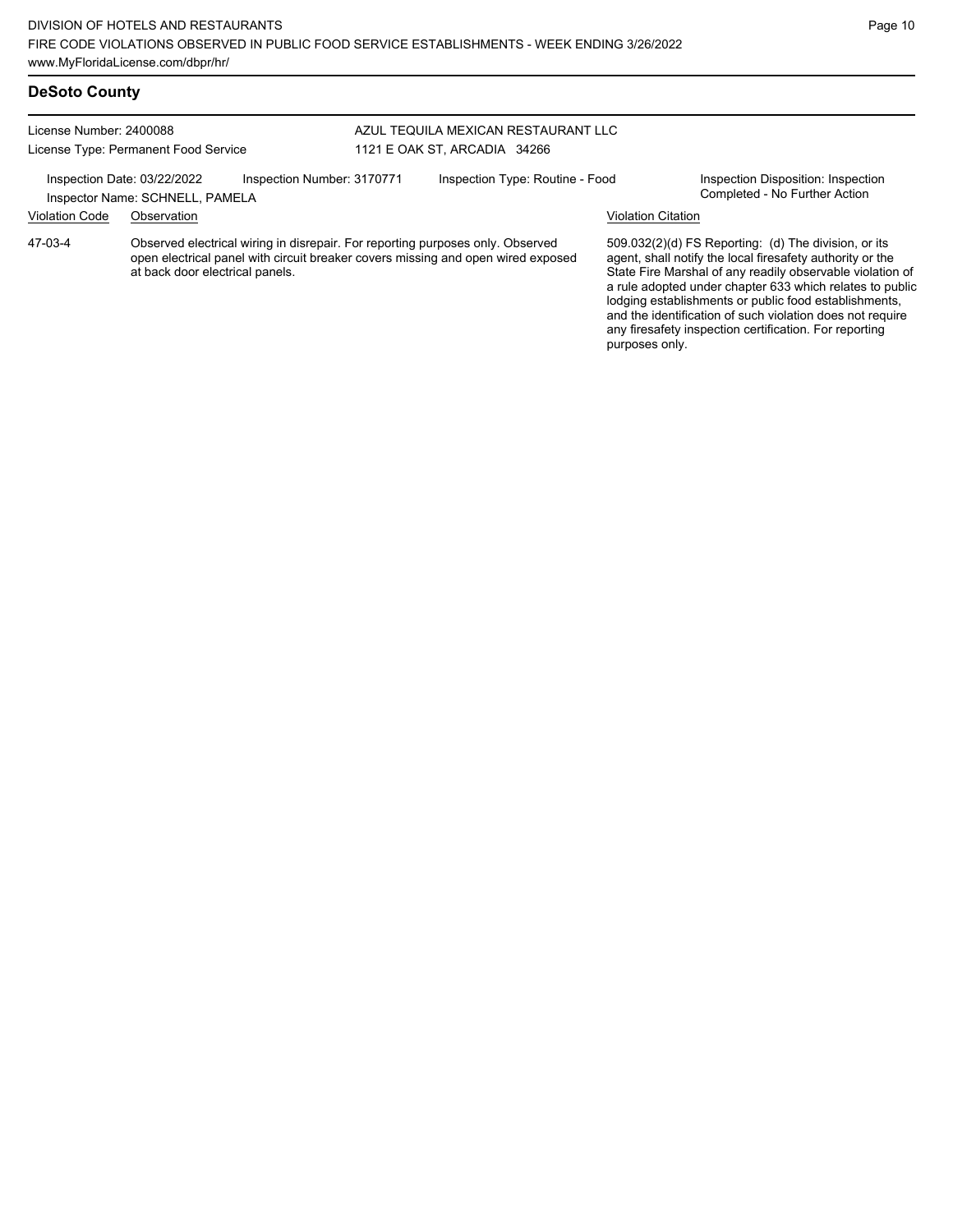#### License Number: 2400088 License Type: Permanent Food Service AZUL TEQUILA MEXICAN RESTAURANT LLC 1121 E OAK ST, ARCADIA 34266 Inspection Date: 03/22/2022 Inspection Number: 3170771 Inspection Type: Routine - Food Inspection Disposition: Inspection<br>Inspector Name: SCHNELL PAMELA Inspector Name: SCHNELL, PAMELA Violation Code Observation Violation Citation Observed electrical wiring in disrepair. For reporting purposes only. Observed open electrical panel with circuit breaker covers missing and open wired exposed at back door electrical panels. 509.032(2)(d) FS Reporting: (d) The division, or its agent, shall notify the local firesafety authority or the State Fire Marshal of any readily observable violation of a rule adopted under chapter 633 which relates to public lodging establishments or public food establishments, and the identification of such violation does not require 47-03-4

any firesafety inspection certification. For reporting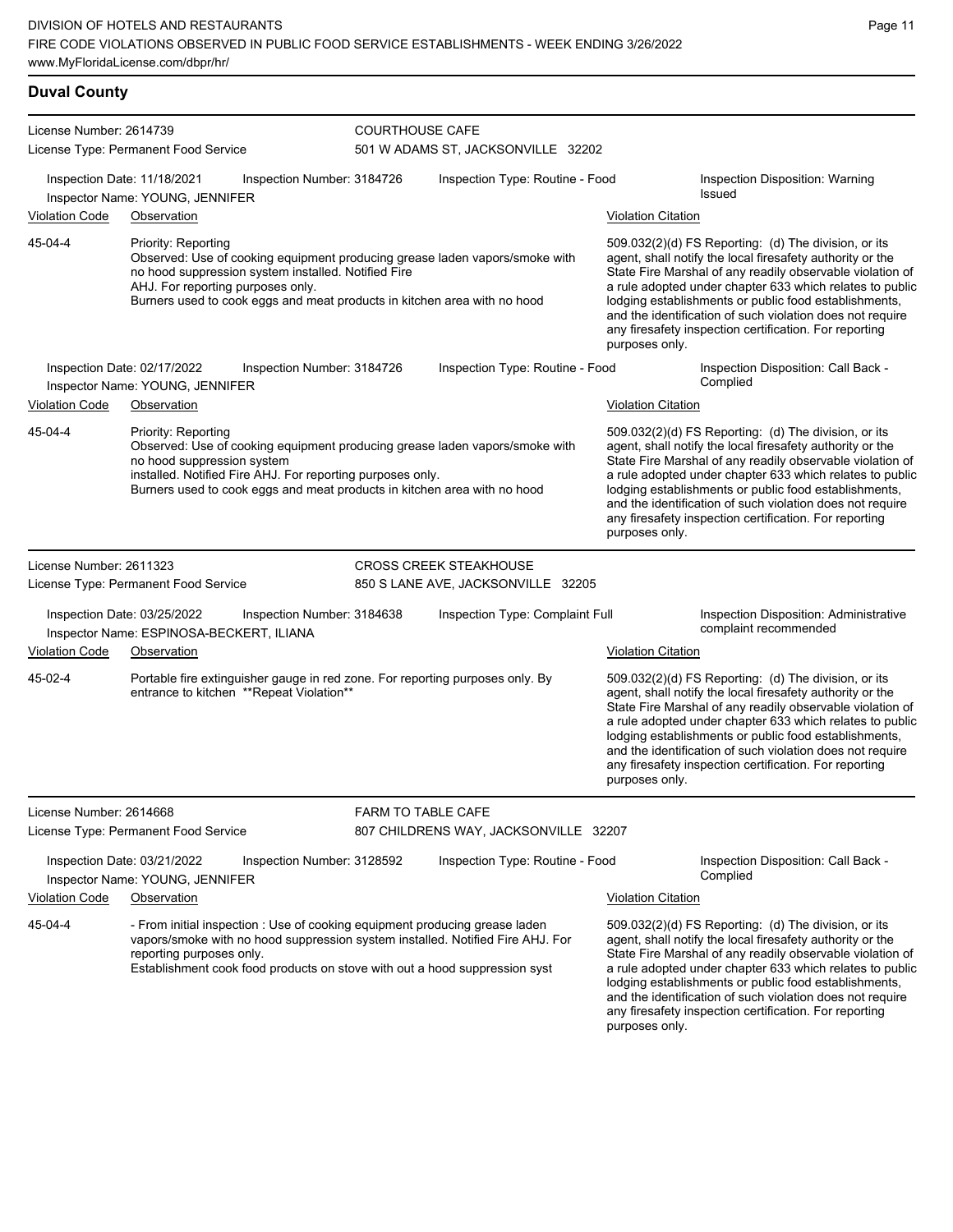# **Duval County**

| License Number: 2614739 | License Type: Permanent Food Service                                                                                                                                                                                                                                       | <b>COURTHOUSE CAFE</b>    | 501 W ADAMS ST, JACKSONVILLE 32202    |                           |                                                                                                                                                                                                                                                                                                                                                                                                                            |
|-------------------------|----------------------------------------------------------------------------------------------------------------------------------------------------------------------------------------------------------------------------------------------------------------------------|---------------------------|---------------------------------------|---------------------------|----------------------------------------------------------------------------------------------------------------------------------------------------------------------------------------------------------------------------------------------------------------------------------------------------------------------------------------------------------------------------------------------------------------------------|
|                         | Inspection Date: 11/18/2021<br>Inspection Number: 3184726<br>Inspector Name: YOUNG, JENNIFER                                                                                                                                                                               |                           | Inspection Type: Routine - Food       |                           | Inspection Disposition: Warning<br><b>Issued</b>                                                                                                                                                                                                                                                                                                                                                                           |
| <b>Violation Code</b>   | Observation                                                                                                                                                                                                                                                                |                           |                                       | <b>Violation Citation</b> |                                                                                                                                                                                                                                                                                                                                                                                                                            |
| 45-04-4                 | Priority: Reporting<br>Observed: Use of cooking equipment producing grease laden vapors/smoke with<br>no hood suppression system installed. Notified Fire<br>AHJ. For reporting purposes only.<br>Burners used to cook eggs and meat products in kitchen area with no hood |                           |                                       | purposes only.            | 509.032(2)(d) FS Reporting: (d) The division, or its<br>agent, shall notify the local firesafety authority or the<br>State Fire Marshal of any readily observable violation of<br>a rule adopted under chapter 633 which relates to public<br>lodging establishments or public food establishments,<br>and the identification of such violation does not require<br>any firesafety inspection certification. For reporting |
|                         | Inspection Date: 02/17/2022<br>Inspection Number: 3184726                                                                                                                                                                                                                  |                           | Inspection Type: Routine - Food       |                           | Inspection Disposition: Call Back -<br>Complied                                                                                                                                                                                                                                                                                                                                                                            |
| <b>Violation Code</b>   | Inspector Name: YOUNG, JENNIFER<br>Observation                                                                                                                                                                                                                             |                           |                                       | <b>Violation Citation</b> |                                                                                                                                                                                                                                                                                                                                                                                                                            |
| 45-04-4                 | Priority: Reporting<br>Observed: Use of cooking equipment producing grease laden vapors/smoke with<br>no hood suppression system<br>installed. Notified Fire AHJ. For reporting purposes only.<br>Burners used to cook eggs and meat products in kitchen area with no hood |                           |                                       | purposes only.            | 509.032(2)(d) FS Reporting: (d) The division, or its<br>agent, shall notify the local firesafety authority or the<br>State Fire Marshal of any readily observable violation of<br>a rule adopted under chapter 633 which relates to public<br>lodging establishments or public food establishments,<br>and the identification of such violation does not require<br>any firesafety inspection certification. For reporting |
| License Number: 2611323 |                                                                                                                                                                                                                                                                            |                           | <b>CROSS CREEK STEAKHOUSE</b>         |                           |                                                                                                                                                                                                                                                                                                                                                                                                                            |
|                         | License Type: Permanent Food Service                                                                                                                                                                                                                                       |                           | 850 S LANE AVE, JACKSONVILLE 32205    |                           |                                                                                                                                                                                                                                                                                                                                                                                                                            |
|                         | Inspection Date: 03/25/2022<br>Inspection Number: 3184638<br>Inspector Name: ESPINOSA-BECKERT, ILIANA                                                                                                                                                                      |                           | Inspection Type: Complaint Full       |                           | Inspection Disposition: Administrative<br>complaint recommended                                                                                                                                                                                                                                                                                                                                                            |
| <b>Violation Code</b>   | Observation                                                                                                                                                                                                                                                                |                           |                                       | <b>Violation Citation</b> |                                                                                                                                                                                                                                                                                                                                                                                                                            |
| 45-02-4                 | Portable fire extinguisher gauge in red zone. For reporting purposes only. By<br>entrance to kitchen **Repeat Violation**                                                                                                                                                  |                           |                                       | purposes only.            | 509.032(2)(d) FS Reporting: (d) The division, or its<br>agent, shall notify the local firesafety authority or the<br>State Fire Marshal of any readily observable violation of<br>a rule adopted under chapter 633 which relates to public<br>lodging establishments or public food establishments,<br>and the identification of such violation does not require<br>any firesafety inspection certification. For reporting |
| License Number: 2614668 |                                                                                                                                                                                                                                                                            | <b>FARM TO TABLE CAFE</b> |                                       |                           |                                                                                                                                                                                                                                                                                                                                                                                                                            |
|                         | License Type: Permanent Food Service                                                                                                                                                                                                                                       |                           | 807 CHILDRENS WAY, JACKSONVILLE 32207 |                           |                                                                                                                                                                                                                                                                                                                                                                                                                            |
|                         | Inspection Date: 03/21/2022<br>Inspection Number: 3128592<br>Inspector Name: YOUNG, JENNIFER                                                                                                                                                                               |                           | Inspection Type: Routine - Food       |                           | Inspection Disposition: Call Back -<br>Complied                                                                                                                                                                                                                                                                                                                                                                            |
| <b>Violation Code</b>   | Observation                                                                                                                                                                                                                                                                |                           |                                       | <b>Violation Citation</b> |                                                                                                                                                                                                                                                                                                                                                                                                                            |
| 45-04-4                 | - From initial inspection : Use of cooking equipment producing grease laden<br>vapors/smoke with no hood suppression system installed. Notified Fire AHJ. For<br>reporting purposes only.<br>Establishment cook food products on stove with out a hood suppression syst    |                           |                                       |                           | 509.032(2)(d) FS Reporting: (d) The division, or its<br>agent, shall notify the local firesafety authority or the<br>State Fire Marshal of any readily observable violation of<br>a rule adopted under chapter 633 which relates to public<br>lodging establishments or public food establishments,<br>and the identification of such violation does not require                                                           |

Page 11

any firesafety inspection certification. For reporting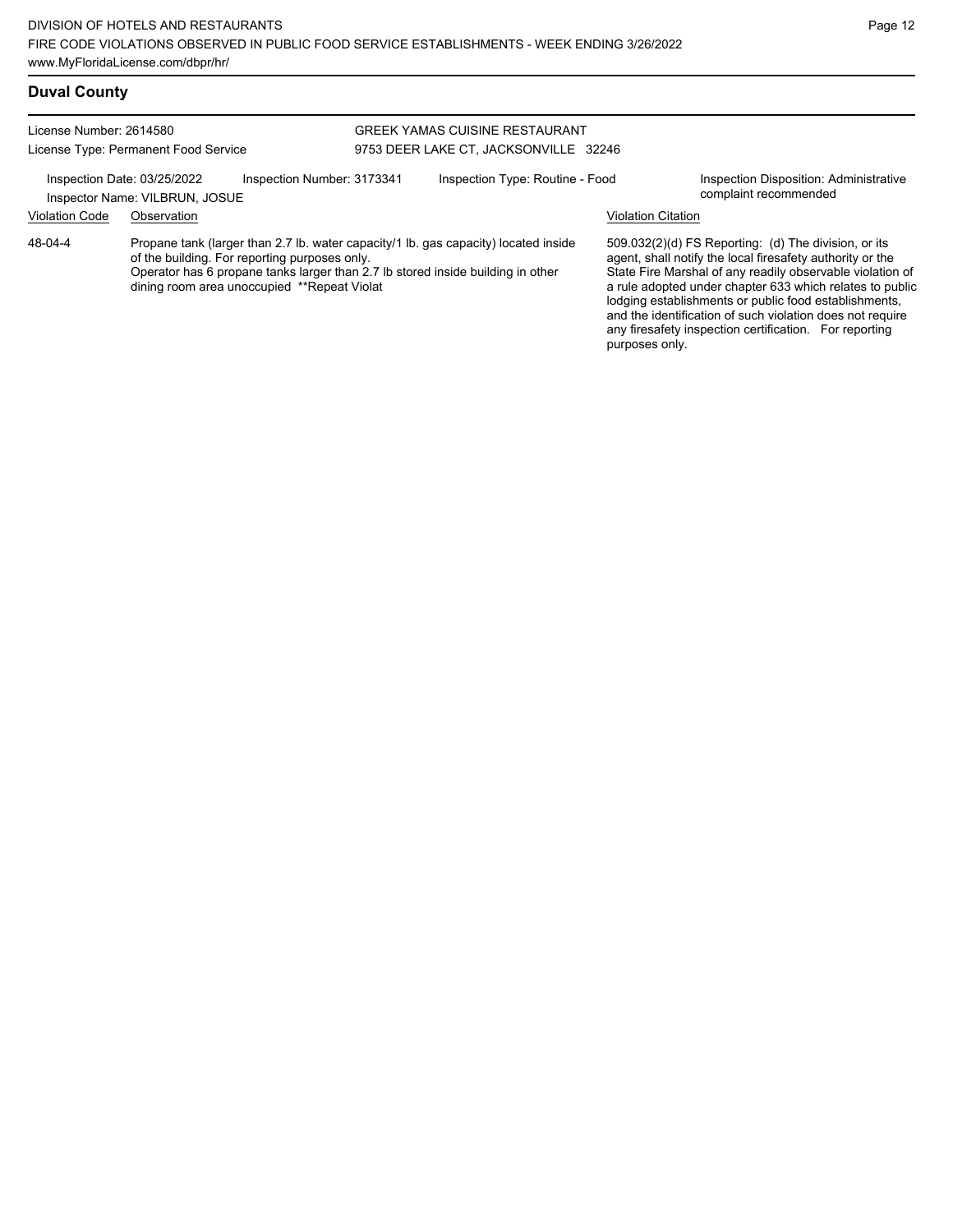| <b>Duval County</b>     |                                                                                                                                                                                                                                                                        |                            |                                                                         |                           |                                                                                                                                                                                                                                                                                                                                                                                                                            |
|-------------------------|------------------------------------------------------------------------------------------------------------------------------------------------------------------------------------------------------------------------------------------------------------------------|----------------------------|-------------------------------------------------------------------------|---------------------------|----------------------------------------------------------------------------------------------------------------------------------------------------------------------------------------------------------------------------------------------------------------------------------------------------------------------------------------------------------------------------------------------------------------------------|
| License Number: 2614580 | License Type: Permanent Food Service                                                                                                                                                                                                                                   |                            | GREEK YAMAS CUISINE RESTAURANT<br>9753 DEER LAKE CT, JACKSONVILLE 32246 |                           |                                                                                                                                                                                                                                                                                                                                                                                                                            |
| <b>Violation Code</b>   | Inspection Date: 03/25/2022<br>Inspector Name: VILBRUN, JOSUE<br>Observation                                                                                                                                                                                           | Inspection Number: 3173341 | Inspection Type: Routine - Food                                         | <b>Violation Citation</b> | Inspection Disposition: Administrative<br>complaint recommended                                                                                                                                                                                                                                                                                                                                                            |
| 48-04-4                 | Propane tank (larger than 2.7 lb. water capacity/1 lb. gas capacity) located inside<br>of the building. For reporting purposes only.<br>Operator has 6 propane tanks larger than 2.7 lb stored inside building in other<br>dining room area unoccupied **Repeat Violat |                            |                                                                         | purposes only.            | 509.032(2)(d) FS Reporting: (d) The division, or its<br>agent, shall notify the local firesafety authority or the<br>State Fire Marshal of any readily observable violation of<br>a rule adopted under chapter 633 which relates to public<br>lodging establishments or public food establishments,<br>and the identification of such violation does not require<br>any firesafety inspection certification. For reporting |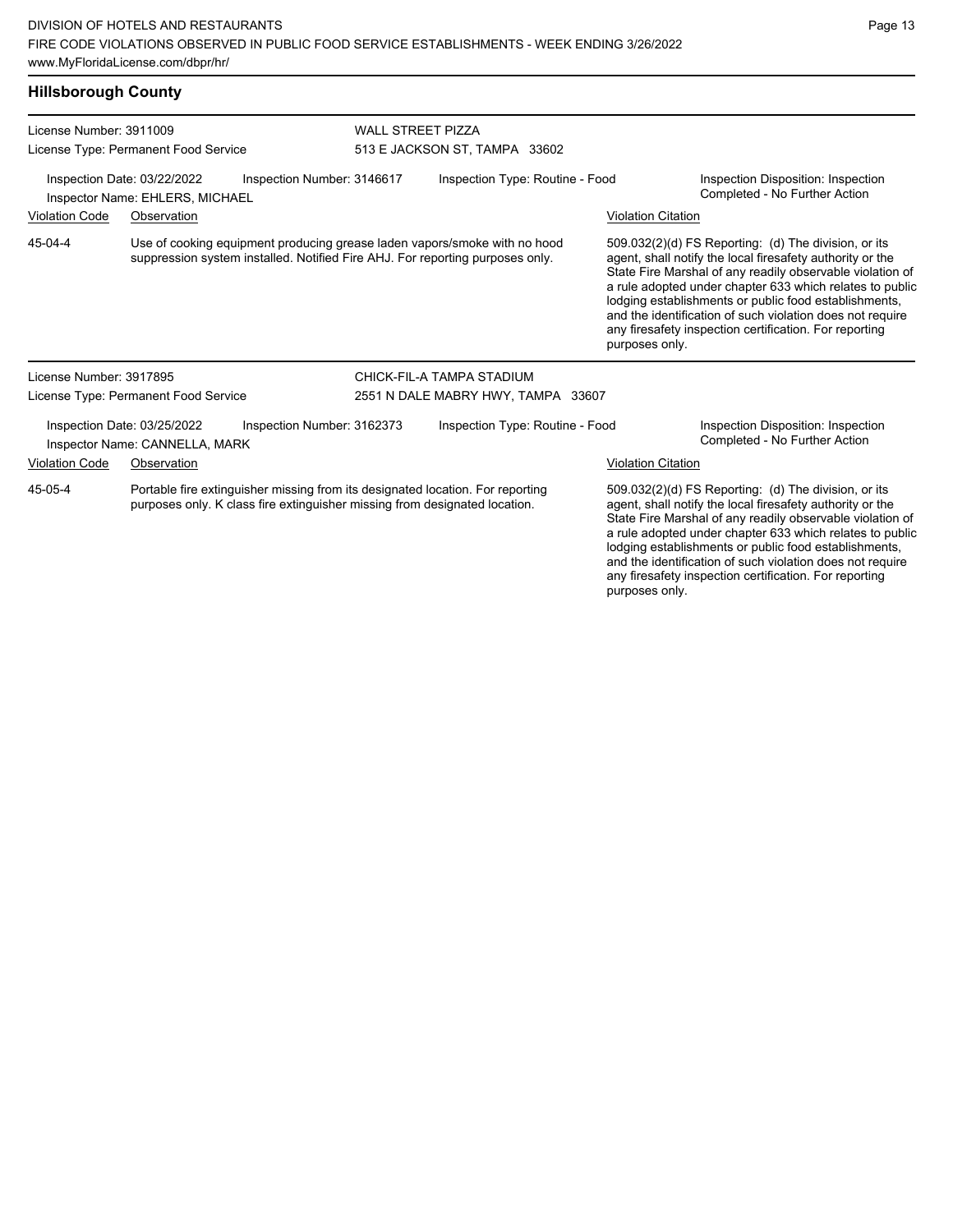#### **Hillsborough County**

| License Number: 3911009<br>License Type: Permanent Food Service |                                                                |                                                                                                                                                              | <b>WALL STREET PIZZA</b><br>513 E JACKSON ST, TAMPA 33602 |                           |                                                                                                                                                                                                                                                                                                                                                                                                                            |  |
|-----------------------------------------------------------------|----------------------------------------------------------------|--------------------------------------------------------------------------------------------------------------------------------------------------------------|-----------------------------------------------------------|---------------------------|----------------------------------------------------------------------------------------------------------------------------------------------------------------------------------------------------------------------------------------------------------------------------------------------------------------------------------------------------------------------------------------------------------------------------|--|
|                                                                 | Inspection Date: 03/22/2022<br>Inspector Name: EHLERS, MICHAEL | Inspection Number: 3146617                                                                                                                                   | Inspection Type: Routine - Food                           |                           | Inspection Disposition: Inspection<br>Completed - No Further Action                                                                                                                                                                                                                                                                                                                                                        |  |
| <b>Violation Code</b>                                           | Observation                                                    |                                                                                                                                                              |                                                           | <b>Violation Citation</b> |                                                                                                                                                                                                                                                                                                                                                                                                                            |  |
| 45-04-4                                                         |                                                                | Use of cooking equipment producing grease laden vapors/smoke with no hood<br>suppression system installed. Notified Fire AHJ. For reporting purposes only.   |                                                           | purposes only.            | 509.032(2)(d) FS Reporting: (d) The division, or its<br>agent, shall notify the local firesafety authority or the<br>State Fire Marshal of any readily observable violation of<br>a rule adopted under chapter 633 which relates to public<br>lodging establishments or public food establishments,<br>and the identification of such violation does not require<br>any firesafety inspection certification. For reporting |  |
| License Number: 3917895                                         |                                                                |                                                                                                                                                              | CHICK-FIL-A TAMPA STADIUM                                 |                           |                                                                                                                                                                                                                                                                                                                                                                                                                            |  |
|                                                                 | License Type: Permanent Food Service                           |                                                                                                                                                              | 2551 N DALE MABRY HWY, TAMPA 33607                        |                           |                                                                                                                                                                                                                                                                                                                                                                                                                            |  |
|                                                                 | Inspection Date: 03/25/2022<br>Inspector Name: CANNELLA, MARK  | Inspection Number: 3162373                                                                                                                                   | Inspection Type: Routine - Food                           |                           | Inspection Disposition: Inspection<br>Completed - No Further Action                                                                                                                                                                                                                                                                                                                                                        |  |
| <b>Violation Code</b>                                           | Observation                                                    |                                                                                                                                                              |                                                           | <b>Violation Citation</b> |                                                                                                                                                                                                                                                                                                                                                                                                                            |  |
| 45-05-4                                                         |                                                                | Portable fire extinguisher missing from its designated location. For reporting<br>purposes only. K class fire extinguisher missing from designated location. |                                                           |                           | 509.032(2)(d) FS Reporting: (d) The division, or its<br>agent, shall notify the local firesafety authority or the<br>State Fire Marshal of any readily observable violation of<br>a rule adopted under chapter 633 which relates to public<br>lodging establishments or public food establishments,<br>and the identification of such violation does not require                                                           |  |

any firesafety inspection certification. For reporting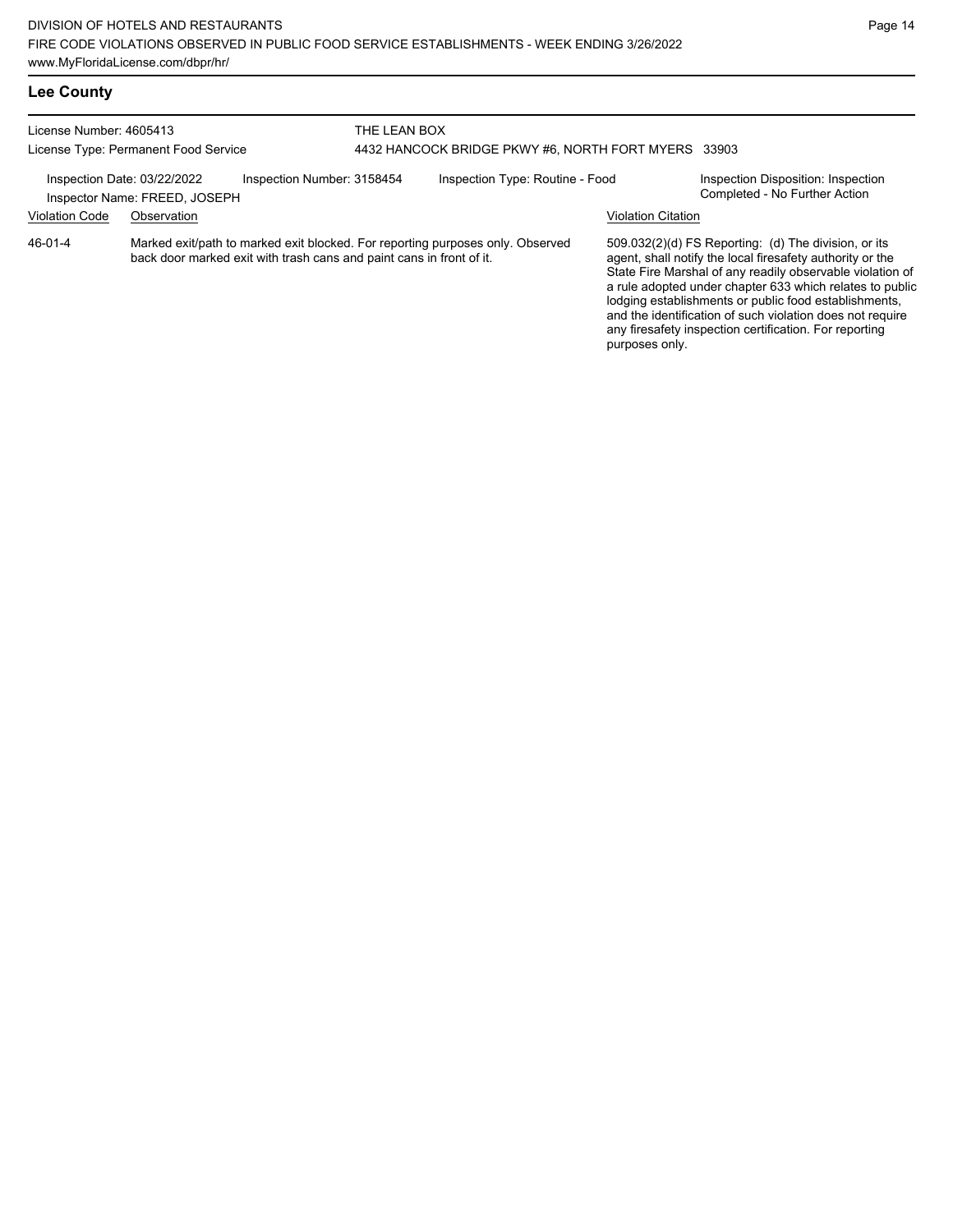| License Number: 4605413<br>License Type: Permanent Food Service<br>Inspection Date: 03/22/2022<br>Inspector Name: FREED, JOSEPH |             | THE LEAN BOX                                                         | 4432 HANCOCK BRIDGE PKWY #6, NORTH FORT MYERS 33903                            |                           |                                                                                                                                                                                                                                                                                                                                                                  |
|---------------------------------------------------------------------------------------------------------------------------------|-------------|----------------------------------------------------------------------|--------------------------------------------------------------------------------|---------------------------|------------------------------------------------------------------------------------------------------------------------------------------------------------------------------------------------------------------------------------------------------------------------------------------------------------------------------------------------------------------|
|                                                                                                                                 |             | Inspection Number: 3158454                                           | Inspection Type: Routine - Food                                                |                           | Inspection Disposition: Inspection<br>Completed - No Further Action                                                                                                                                                                                                                                                                                              |
| <b>Violation Code</b>                                                                                                           | Observation |                                                                      |                                                                                | <b>Violation Citation</b> |                                                                                                                                                                                                                                                                                                                                                                  |
| 46-01-4                                                                                                                         |             | back door marked exit with trash cans and paint cans in front of it. | Marked exit/path to marked exit blocked. For reporting purposes only. Observed |                           | 509.032(2)(d) FS Reporting: (d) The division, or its<br>agent, shall notify the local firesafety authority or the<br>State Fire Marshal of any readily observable violation of<br>a rule adopted under chapter 633 which relates to public<br>lodging establishments or public food establishments,<br>and the identification of such violation does not require |

any firesafety inspection certification. For reporting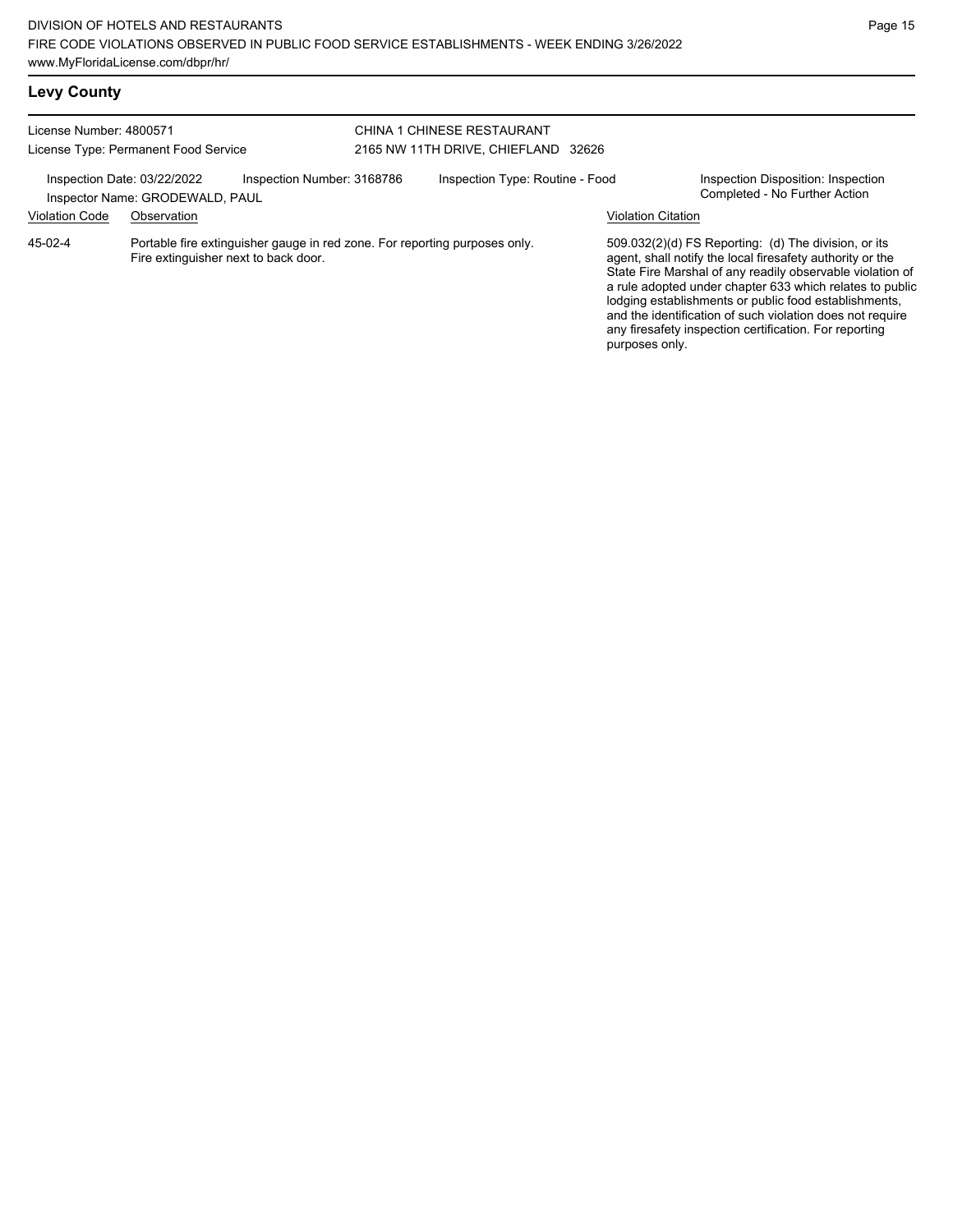|  | <b>Levy County</b> |
|--|--------------------|
|--|--------------------|

| License Number: 4800571                              | License Type: Permanent Food Service                                                                               | CHINA 1 CHINESE RESTAURANT<br>2165 NW 11TH DRIVE, CHIEFLAND 32626 |                                                                                                                                                                                                                                                                                                                                                                                                                                              |                           |                                                                     |
|------------------------------------------------------|--------------------------------------------------------------------------------------------------------------------|-------------------------------------------------------------------|----------------------------------------------------------------------------------------------------------------------------------------------------------------------------------------------------------------------------------------------------------------------------------------------------------------------------------------------------------------------------------------------------------------------------------------------|---------------------------|---------------------------------------------------------------------|
| Inspection Date: 03/22/2022<br><b>Violation Code</b> | Inspection Number: 3168786<br>Inspector Name: GRODEWALD, PAUL<br>Observation                                       |                                                                   | Inspection Type: Routine - Food                                                                                                                                                                                                                                                                                                                                                                                                              | <b>Violation Citation</b> | Inspection Disposition: Inspection<br>Completed - No Further Action |
| $45-02-4$                                            | Portable fire extinguisher gauge in red zone. For reporting purposes only.<br>Fire extinguisher next to back door. |                                                                   | 509.032(2)(d) FS Reporting: (d) The division, or its<br>agent, shall notify the local firesafety authority or the<br>State Fire Marshal of any readily observable violation of<br>a rule adopted under chapter 633 which relates to public<br>lodging establishments or public food establishments,<br>and the identification of such violation does not require<br>any firesafety inspection certification. For reporting<br>purposes only. |                           |                                                                     |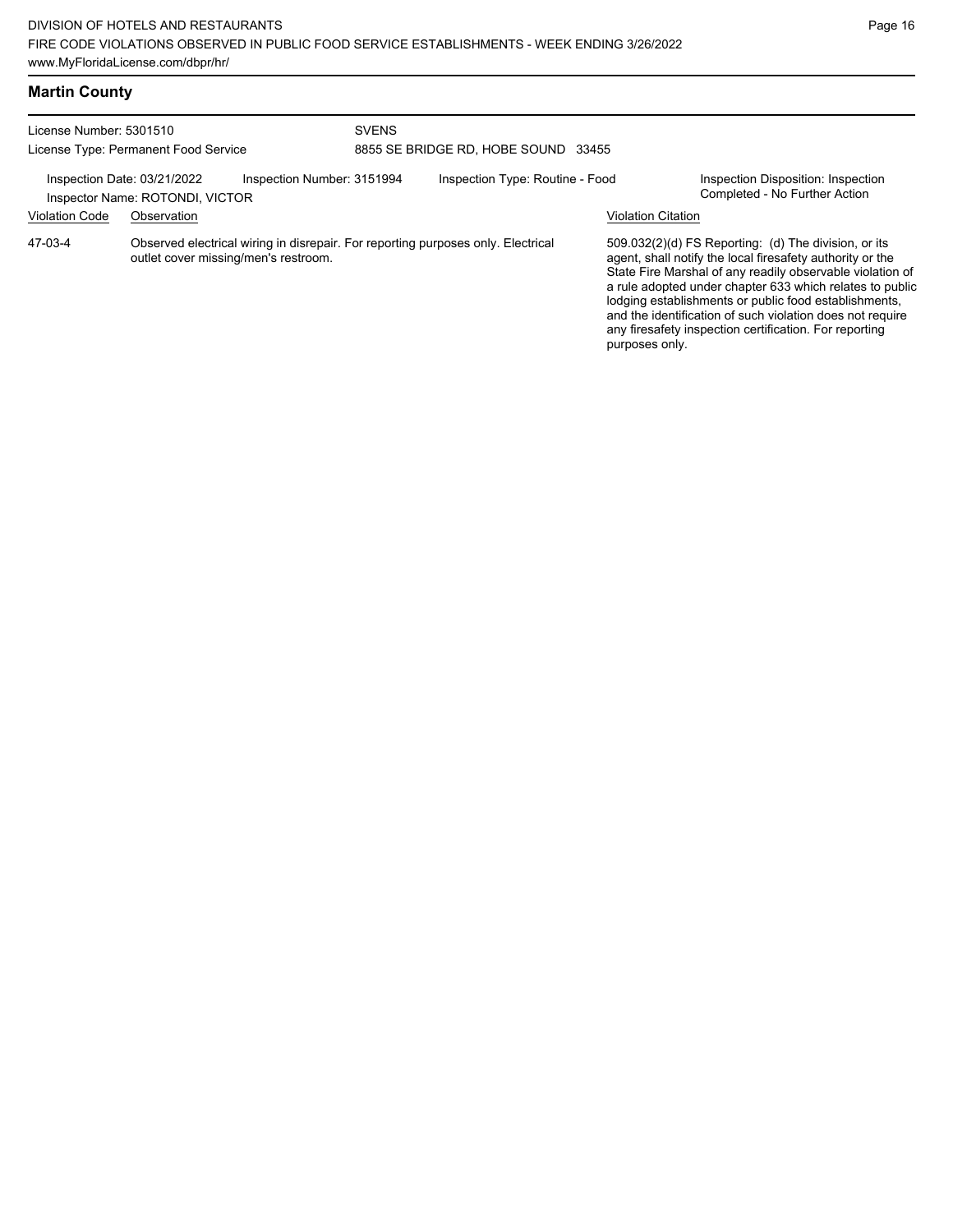|  | <b>Martin County</b> |
|--|----------------------|
|--|----------------------|

| License Number: 5301510                              | License Type: Permanent Food Service                                                                                     | <b>SVENS</b><br>8855 SE BRIDGE RD, HOBE SOUND 33455 |                                 |                           |                                                                                                                                                                                                                                                                                                                                                                                                                            |
|------------------------------------------------------|--------------------------------------------------------------------------------------------------------------------------|-----------------------------------------------------|---------------------------------|---------------------------|----------------------------------------------------------------------------------------------------------------------------------------------------------------------------------------------------------------------------------------------------------------------------------------------------------------------------------------------------------------------------------------------------------------------------|
| Inspection Date: 03/21/2022<br><b>Violation Code</b> | Inspection Number: 3151994<br>Inspector Name: ROTONDI, VICTOR<br>Observation                                             |                                                     | Inspection Type: Routine - Food | <b>Violation Citation</b> | Inspection Disposition: Inspection<br>Completed - No Further Action                                                                                                                                                                                                                                                                                                                                                        |
| 47-03-4                                              | Observed electrical wiring in disrepair. For reporting purposes only. Electrical<br>outlet cover missing/men's restroom. |                                                     |                                 | purposes only.            | 509.032(2)(d) FS Reporting: (d) The division, or its<br>agent, shall notify the local firesafety authority or the<br>State Fire Marshal of any readily observable violation of<br>a rule adopted under chapter 633 which relates to public<br>lodging establishments or public food establishments,<br>and the identification of such violation does not require<br>any firesafety inspection certification. For reporting |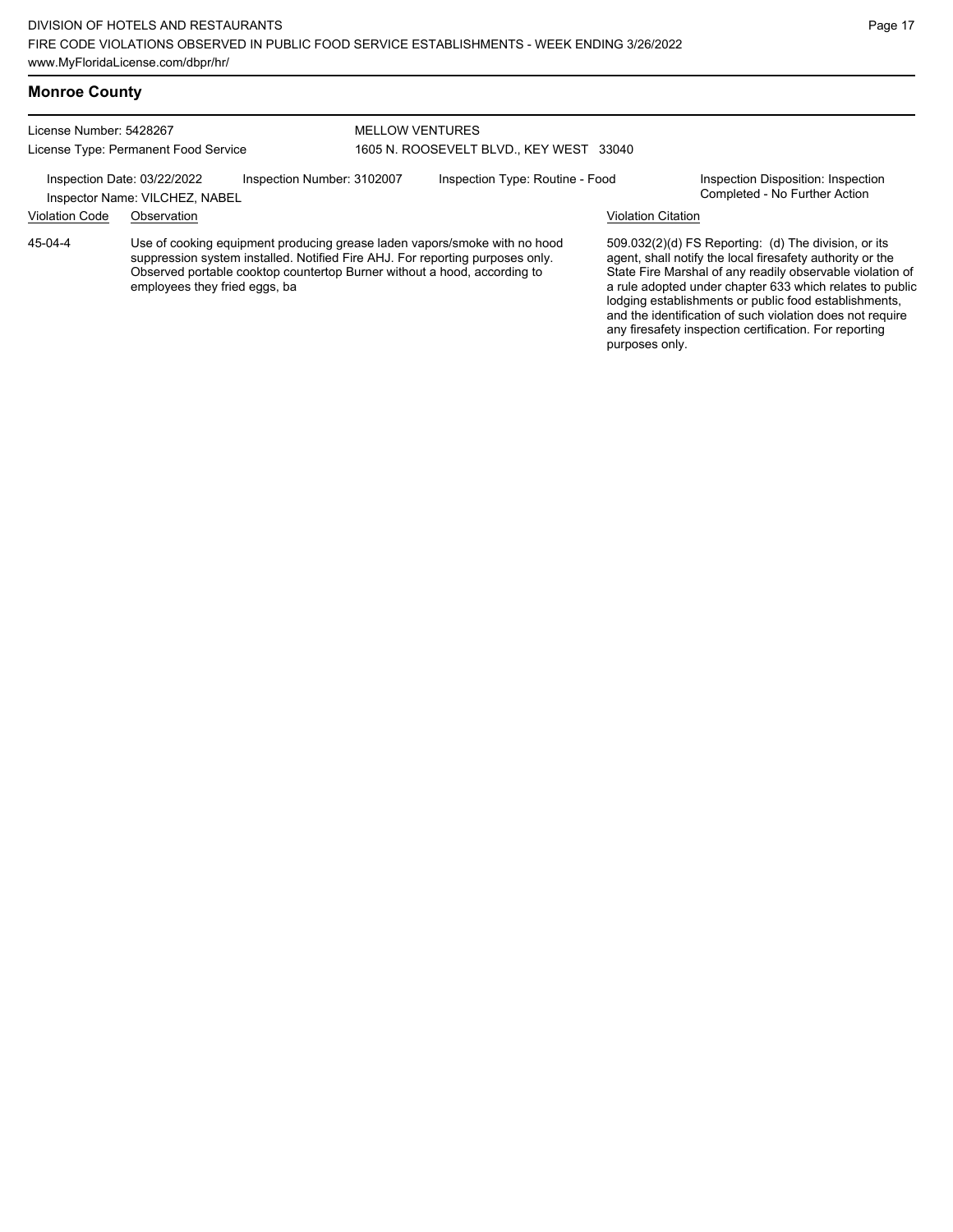#### **Monroe County**

License Number: 5428267 License Type: Permanent Food Service

#### MELLOW VENTURES 1605 N. ROOSEVELT BLVD., KEY WEST 33040

Inspection Date: 03/22/2022 Inspection Number: 3102007 Inspection Type: Routine - Food Inspection Disposition: Inspection<br>Inspector Name: VILCHEZ NABEL

Inspector Name: VILCHEZ, NABEL

# Violation Code Observation Violation Citation

Use of cooking equipment producing grease laden vapors/smoke with no hood suppression system installed. Notified Fire AHJ. For reporting purposes only. Observed portable cooktop countertop Burner without a hood, according to employees they fried eggs, ba 45-04-4

509.032(2)(d) FS Reporting: (d) The division, or its agent, shall notify the local firesafety authority or the State Fire Marshal of any readily observable violation of a rule adopted under chapter 633 which relates to public lodging establishments or public food establishments, and the identification of such violation does not require any firesafety inspection certification. For reporting purposes only.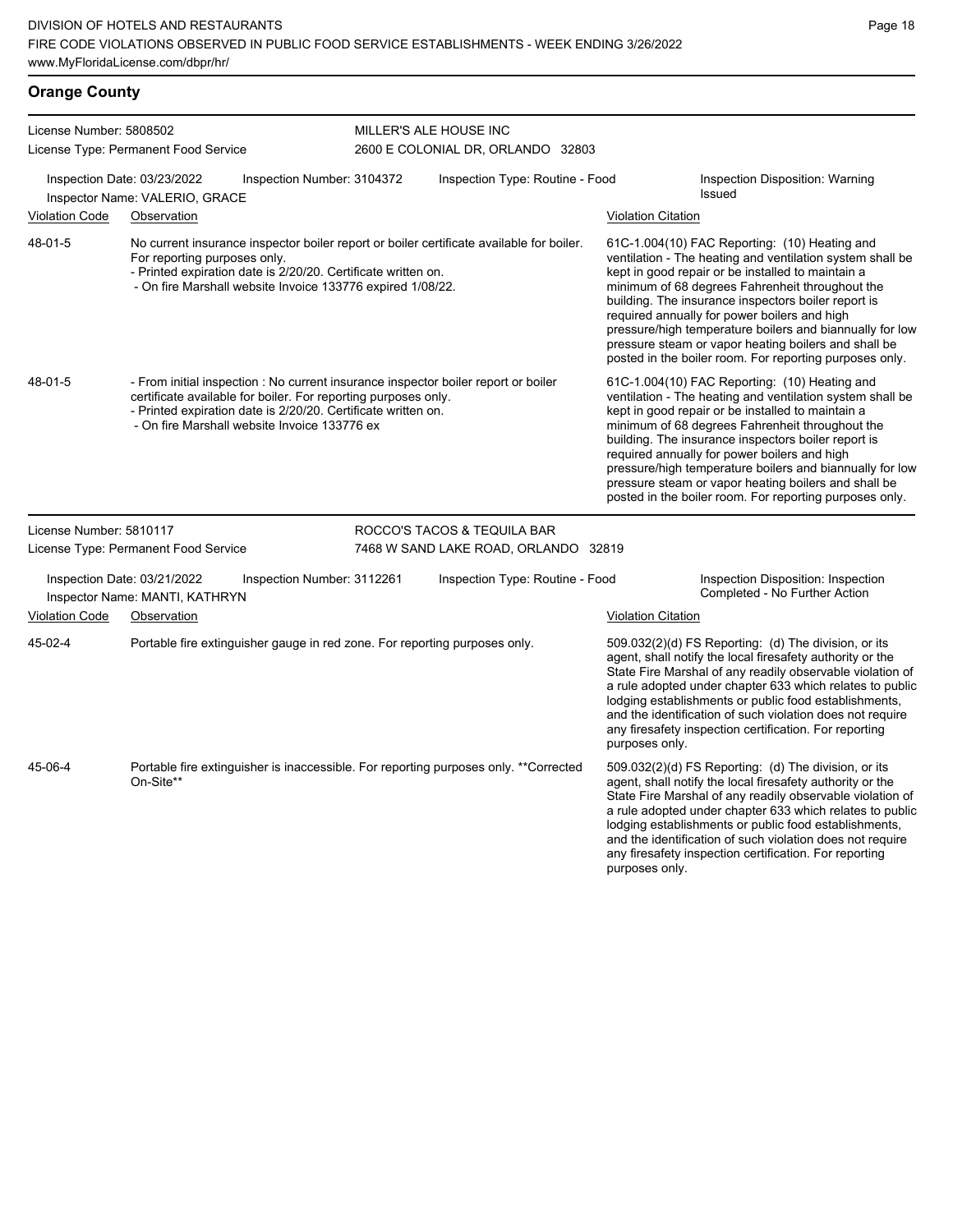# **Orange County**

| License Number: 5808502 |                                                               |                                                                                                                                                                                                                                                                       |                                   | MILLER'S ALE HOUSE INC                                                                   |                           |                                                                                                                                                                                                                                                                                                                                                                                                                                                                                                          |
|-------------------------|---------------------------------------------------------------|-----------------------------------------------------------------------------------------------------------------------------------------------------------------------------------------------------------------------------------------------------------------------|-----------------------------------|------------------------------------------------------------------------------------------|---------------------------|----------------------------------------------------------------------------------------------------------------------------------------------------------------------------------------------------------------------------------------------------------------------------------------------------------------------------------------------------------------------------------------------------------------------------------------------------------------------------------------------------------|
|                         | License Type: Permanent Food Service                          |                                                                                                                                                                                                                                                                       | 2600 E COLONIAL DR, ORLANDO 32803 |                                                                                          |                           |                                                                                                                                                                                                                                                                                                                                                                                                                                                                                                          |
|                         | Inspection Date: 03/23/2022<br>Inspector Name: VALERIO, GRACE | Inspection Number: 3104372                                                                                                                                                                                                                                            | Inspection Type: Routine - Food   |                                                                                          |                           | <b>Inspection Disposition: Warning</b><br><b>Issued</b>                                                                                                                                                                                                                                                                                                                                                                                                                                                  |
| <b>Violation Code</b>   | Observation                                                   |                                                                                                                                                                                                                                                                       |                                   |                                                                                          | <b>Violation Citation</b> |                                                                                                                                                                                                                                                                                                                                                                                                                                                                                                          |
| 48-01-5                 | For reporting purposes only.                                  | - Printed expiration date is 2/20/20. Certificate written on.<br>- On fire Marshall website Invoice 133776 expired 1/08/22.                                                                                                                                           |                                   | No current insurance inspector boiler report or boiler certificate available for boiler. |                           | 61C-1.004(10) FAC Reporting: (10) Heating and<br>ventilation - The heating and ventilation system shall be<br>kept in good repair or be installed to maintain a<br>minimum of 68 degrees Fahrenheit throughout the<br>building. The insurance inspectors boiler report is<br>required annually for power boilers and high<br>pressure/high temperature boilers and biannually for low<br>pressure steam or vapor heating boilers and shall be<br>posted in the boiler room. For reporting purposes only. |
| 48-01-5                 |                                                               | - From initial inspection : No current insurance inspector boiler report or boiler<br>certificate available for boiler. For reporting purposes only.<br>- Printed expiration date is 2/20/20. Certificate written on.<br>- On fire Marshall website Invoice 133776 ex |                                   |                                                                                          |                           | 61C-1.004(10) FAC Reporting: (10) Heating and<br>ventilation - The heating and ventilation system shall be<br>kept in good repair or be installed to maintain a<br>minimum of 68 degrees Fahrenheit throughout the<br>building. The insurance inspectors boiler report is<br>required annually for power boilers and high<br>pressure/high temperature boilers and biannually for low<br>pressure steam or vapor heating boilers and shall be<br>posted in the boiler room. For reporting purposes only. |
| License Number: 5810117 |                                                               |                                                                                                                                                                                                                                                                       |                                   | ROCCO'S TACOS & TEQUILA BAR                                                              |                           |                                                                                                                                                                                                                                                                                                                                                                                                                                                                                                          |
|                         | License Type: Permanent Food Service                          |                                                                                                                                                                                                                                                                       |                                   | 7468 W SAND LAKE ROAD, ORLANDO 32819                                                     |                           |                                                                                                                                                                                                                                                                                                                                                                                                                                                                                                          |
|                         | Inspection Date: 03/21/2022<br>Inspector Name: MANTI, KATHRYN | Inspection Number: 3112261                                                                                                                                                                                                                                            |                                   | Inspection Type: Routine - Food                                                          |                           | Inspection Disposition: Inspection<br>Completed - No Further Action                                                                                                                                                                                                                                                                                                                                                                                                                                      |
| <b>Violation Code</b>   | Observation                                                   |                                                                                                                                                                                                                                                                       |                                   |                                                                                          | <b>Violation Citation</b> |                                                                                                                                                                                                                                                                                                                                                                                                                                                                                                          |
| 45-02-4                 |                                                               | Portable fire extinguisher gauge in red zone. For reporting purposes only.                                                                                                                                                                                            |                                   |                                                                                          | purposes only.            | 509.032(2)(d) FS Reporting: (d) The division, or its<br>agent, shall notify the local firesafety authority or the<br>State Fire Marshal of any readily observable violation of<br>a rule adopted under chapter 633 which relates to public<br>lodging establishments or public food establishments,<br>and the identification of such violation does not require<br>any firesafety inspection certification. For reporting                                                                               |
| 45-06-4                 | On-Site**                                                     |                                                                                                                                                                                                                                                                       |                                   | Portable fire extinguisher is inaccessible. For reporting purposes only. **Corrected     | purposes only.            | 509.032(2)(d) FS Reporting: (d) The division, or its<br>agent, shall notify the local firesafety authority or the<br>State Fire Marshal of any readily observable violation of<br>a rule adopted under chapter 633 which relates to public<br>lodging establishments or public food establishments,<br>and the identification of such violation does not require<br>any firesafety inspection certification. For reporting                                                                               |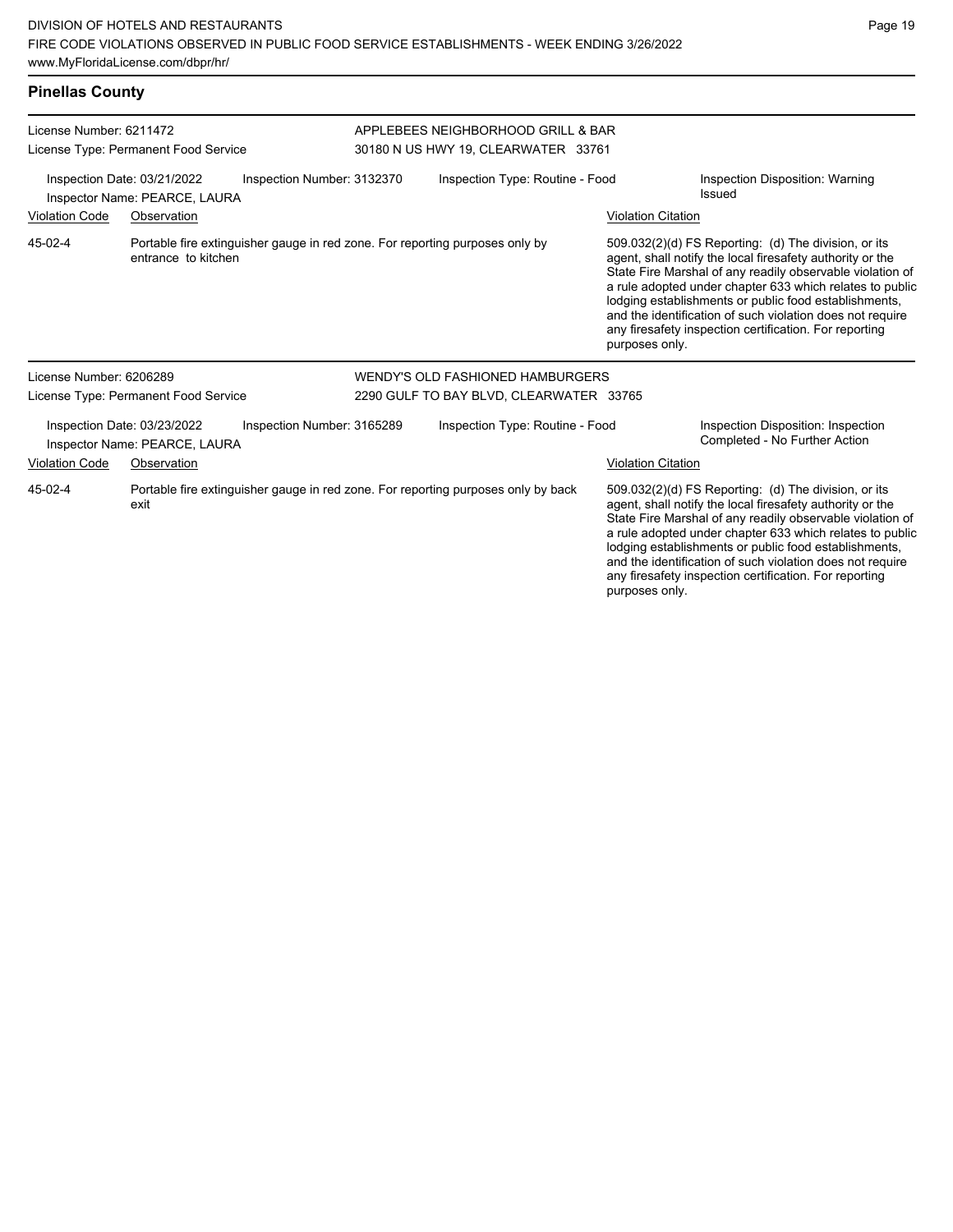# **Pinellas County**

| License Number: 6211472                                                                    |                                                              |                                                                              | APPLEBEES NEIGHBORHOOD GRILL & BAR      |                                                                                   |                           |                                                                                                                                                                                                                                                                                                                                                                                                                            |  |
|--------------------------------------------------------------------------------------------|--------------------------------------------------------------|------------------------------------------------------------------------------|-----------------------------------------|-----------------------------------------------------------------------------------|---------------------------|----------------------------------------------------------------------------------------------------------------------------------------------------------------------------------------------------------------------------------------------------------------------------------------------------------------------------------------------------------------------------------------------------------------------------|--|
|                                                                                            | License Type: Permanent Food Service                         |                                                                              | 30180 N US HWY 19, CLEARWATER 33761     |                                                                                   |                           |                                                                                                                                                                                                                                                                                                                                                                                                                            |  |
| Inspection Date: 03/21/2022<br>Inspection Number: 3132370<br>Inspector Name: PEARCE, LAURA |                                                              |                                                                              |                                         | Inspection Type: Routine - Food                                                   |                           | <b>Inspection Disposition: Warning</b><br>Issued                                                                                                                                                                                                                                                                                                                                                                           |  |
| <b>Violation Code</b>                                                                      | Observation                                                  |                                                                              |                                         |                                                                                   | <b>Violation Citation</b> |                                                                                                                                                                                                                                                                                                                                                                                                                            |  |
| 45-02-4                                                                                    | entrance to kitchen                                          | Portable fire extinguisher gauge in red zone. For reporting purposes only by |                                         |                                                                                   | purposes only.            | 509.032(2)(d) FS Reporting: (d) The division, or its<br>agent, shall notify the local firesafety authority or the<br>State Fire Marshal of any readily observable violation of<br>a rule adopted under chapter 633 which relates to public<br>lodging establishments or public food establishments,<br>and the identification of such violation does not require<br>any firesafety inspection certification. For reporting |  |
| License Number: 6206289                                                                    |                                                              |                                                                              |                                         | WENDY'S OLD FASHIONED HAMBURGERS                                                  |                           |                                                                                                                                                                                                                                                                                                                                                                                                                            |  |
|                                                                                            | License Type: Permanent Food Service                         |                                                                              | 2290 GULF TO BAY BLVD, CLEARWATER 33765 |                                                                                   |                           |                                                                                                                                                                                                                                                                                                                                                                                                                            |  |
|                                                                                            | Inspection Date: 03/23/2022<br>Inspector Name: PEARCE, LAURA | Inspection Number: 3165289                                                   |                                         | Inspection Type: Routine - Food                                                   |                           | Inspection Disposition: Inspection<br>Completed - No Further Action                                                                                                                                                                                                                                                                                                                                                        |  |
| <b>Violation Code</b>                                                                      | Observation                                                  |                                                                              |                                         |                                                                                   | <b>Violation Citation</b> |                                                                                                                                                                                                                                                                                                                                                                                                                            |  |
| 45-02-4                                                                                    | exit                                                         |                                                                              |                                         | Portable fire extinguisher gauge in red zone. For reporting purposes only by back |                           | 509.032(2)(d) FS Reporting: (d) The division, or its<br>agent, shall notify the local firesafety authority or the<br>State Fire Marshal of any readily observable violation of<br>a rule adopted under chapter 633 which relates to public<br>lodging establishments or public food establishments,<br>and the identification of such violation does not require                                                           |  |

any firesafety inspection certification. For reporting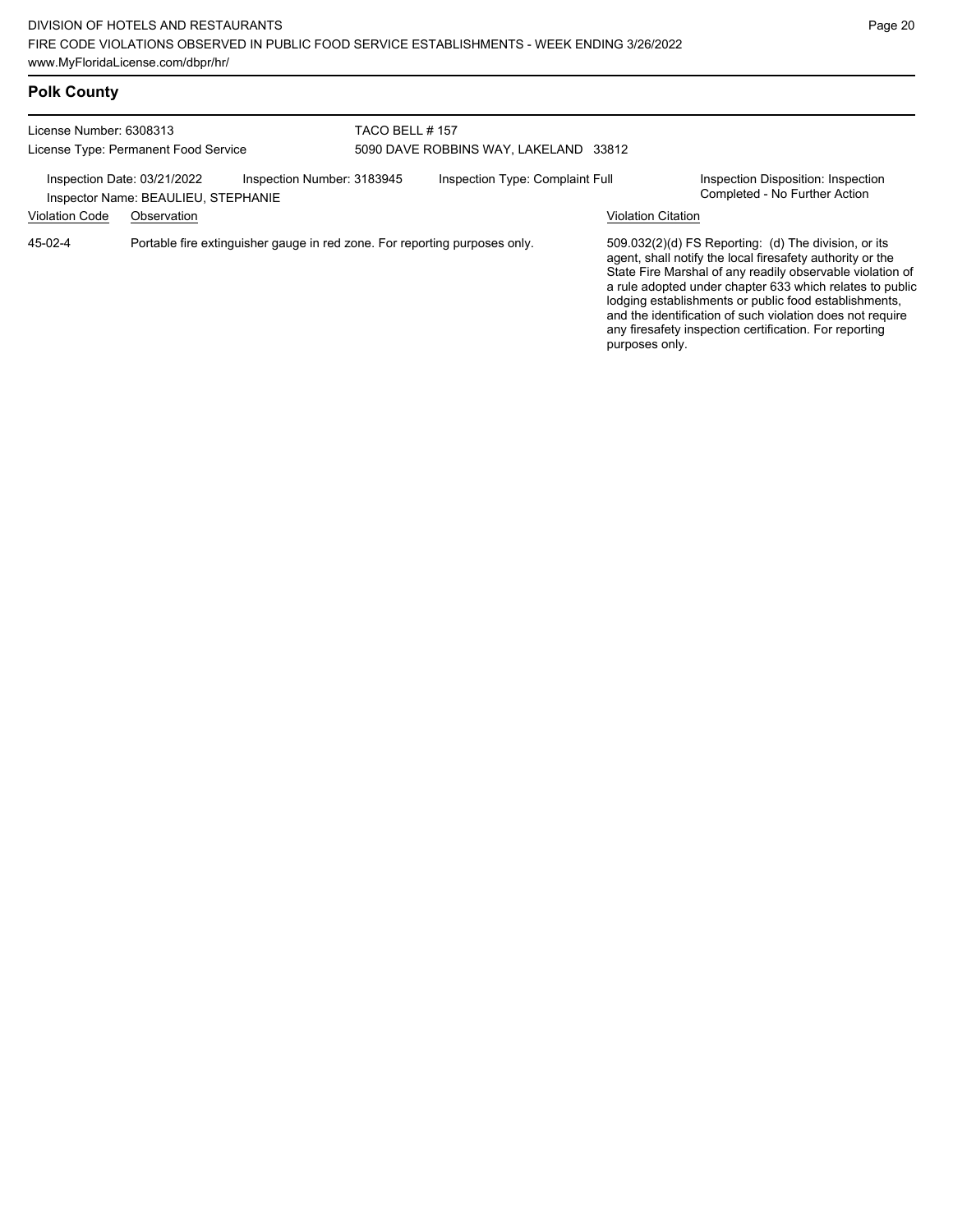# **Polk County**

| License Number: 6308313<br>License Type: Permanent Food Service                                  |             |                                                                            | TACO BELL #157<br>5090 DAVE ROBBINS WAY, LAKELAND 33812 |  |                                                                     |                                                                                                                                                                                                                                                                                                                                                                                                                            |
|--------------------------------------------------------------------------------------------------|-------------|----------------------------------------------------------------------------|---------------------------------------------------------|--|---------------------------------------------------------------------|----------------------------------------------------------------------------------------------------------------------------------------------------------------------------------------------------------------------------------------------------------------------------------------------------------------------------------------------------------------------------------------------------------------------------|
| Inspection Number: 3183945<br>Inspection Date: 03/21/2022<br>Inspector Name: BEAULIEU, STEPHANIE |             |                                                                            | Inspection Type: Complaint Full                         |  | Inspection Disposition: Inspection<br>Completed - No Further Action |                                                                                                                                                                                                                                                                                                                                                                                                                            |
| <b>Violation Code</b>                                                                            | Observation |                                                                            |                                                         |  | <b>Violation Citation</b>                                           |                                                                                                                                                                                                                                                                                                                                                                                                                            |
| $45-02-4$                                                                                        |             | Portable fire extinguisher gauge in red zone. For reporting purposes only. |                                                         |  |                                                                     | 509.032(2)(d) FS Reporting: (d) The division, or its<br>agent, shall notify the local firesafety authority or the<br>State Fire Marshal of any readily observable violation of<br>a rule adopted under chapter 633 which relates to public<br>lodging establishments or public food establishments,<br>and the identification of such violation does not require<br>any firesafety inspection certification. For reporting |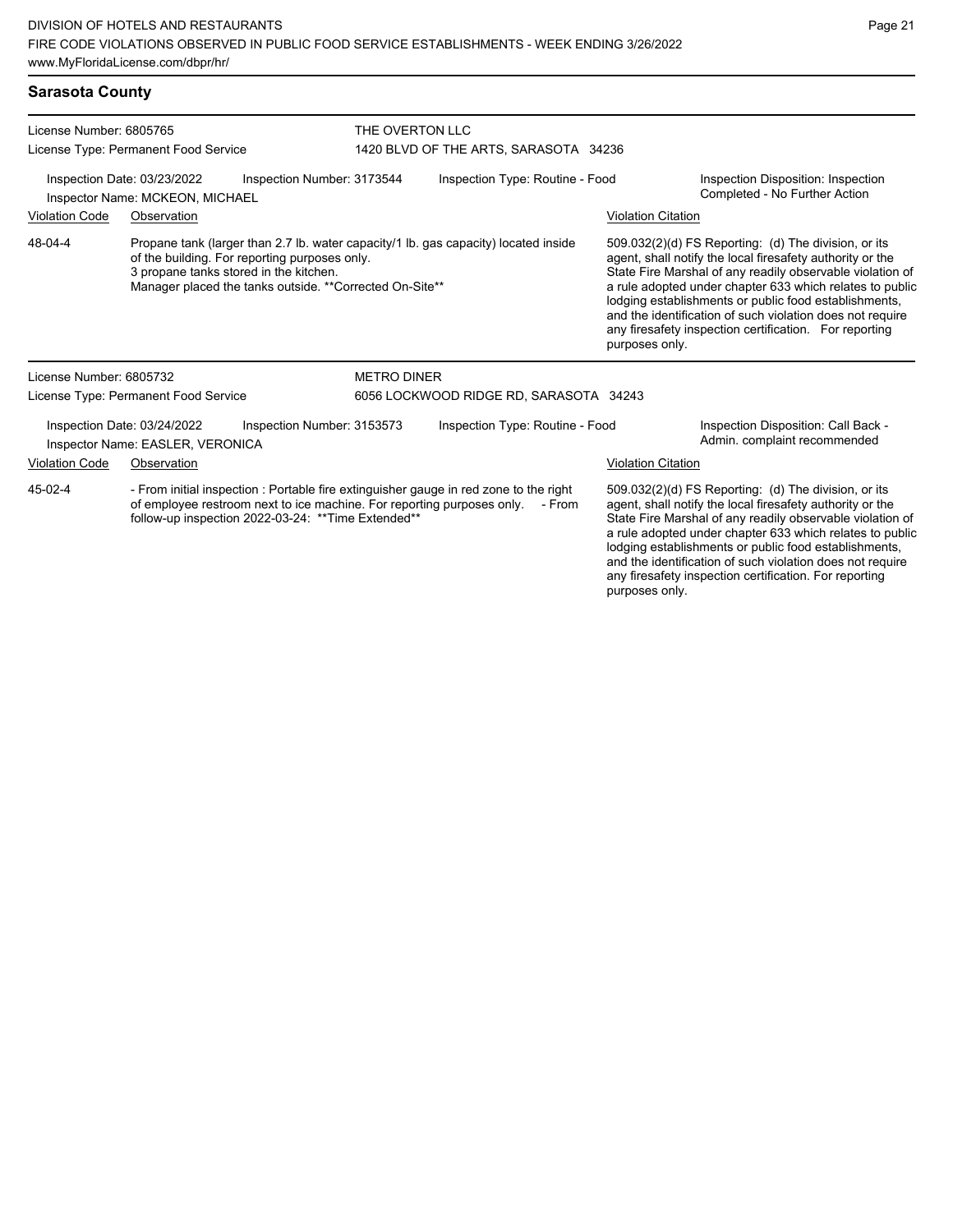#### **Sarasota County**

| License Number: 6805765<br>License Type: Permanent Food Service                                                                                                                                                                   |                                                                                                                                                                                                                                            |                            | THE OVERTON LLC<br>1420 BLVD OF THE ARTS, SARASOTA 34236 |                                                                                                                                                                                                                                                                                                                                                                                                                                              |                                                                     |  |
|-----------------------------------------------------------------------------------------------------------------------------------------------------------------------------------------------------------------------------------|--------------------------------------------------------------------------------------------------------------------------------------------------------------------------------------------------------------------------------------------|----------------------------|----------------------------------------------------------|----------------------------------------------------------------------------------------------------------------------------------------------------------------------------------------------------------------------------------------------------------------------------------------------------------------------------------------------------------------------------------------------------------------------------------------------|---------------------------------------------------------------------|--|
|                                                                                                                                                                                                                                   | Inspection Date: 03/23/2022<br>Inspector Name: MCKEON, MICHAEL                                                                                                                                                                             | Inspection Number: 3173544 | Inspection Type: Routine - Food                          |                                                                                                                                                                                                                                                                                                                                                                                                                                              | Inspection Disposition: Inspection<br>Completed - No Further Action |  |
| <b>Violation Code</b>                                                                                                                                                                                                             | Observation                                                                                                                                                                                                                                |                            |                                                          | <b>Violation Citation</b>                                                                                                                                                                                                                                                                                                                                                                                                                    |                                                                     |  |
| 48-04-4                                                                                                                                                                                                                           | Propane tank (larger than 2.7 lb. water capacity/1 lb. gas capacity) located inside<br>of the building. For reporting purposes only.<br>3 propane tanks stored in the kitchen.<br>Manager placed the tanks outside. ** Corrected On-Site** |                            |                                                          | 509.032(2)(d) FS Reporting: (d) The division, or its<br>agent, shall notify the local firesafety authority or the<br>State Fire Marshal of any readily observable violation of<br>a rule adopted under chapter 633 which relates to public<br>lodging establishments or public food establishments,<br>and the identification of such violation does not require<br>any firesafety inspection certification. For reporting<br>purposes only. |                                                                     |  |
| License Number: 6805732                                                                                                                                                                                                           |                                                                                                                                                                                                                                            | <b>METRO DINER</b>         |                                                          |                                                                                                                                                                                                                                                                                                                                                                                                                                              |                                                                     |  |
|                                                                                                                                                                                                                                   | License Type: Permanent Food Service                                                                                                                                                                                                       |                            | 6056 LOCKWOOD RIDGE RD, SARASOTA 34243                   |                                                                                                                                                                                                                                                                                                                                                                                                                                              |                                                                     |  |
|                                                                                                                                                                                                                                   | Inspection Date: 03/24/2022<br>Inspector Name: EASLER, VERONICA                                                                                                                                                                            | Inspection Number: 3153573 | Inspection Type: Routine - Food                          |                                                                                                                                                                                                                                                                                                                                                                                                                                              | Inspection Disposition: Call Back -<br>Admin. complaint recommended |  |
| <b>Violation Code</b>                                                                                                                                                                                                             | Observation                                                                                                                                                                                                                                |                            |                                                          | <b>Violation Citation</b>                                                                                                                                                                                                                                                                                                                                                                                                                    |                                                                     |  |
| - From initial inspection : Portable fire extinguisher gauge in red zone to the right<br>45-02-4<br>of employee restroom next to ice machine. For reporting purposes only.<br>follow-up inspection 2022-03-24: ** Time Extended** |                                                                                                                                                                                                                                            | - From                     |                                                          | 509.032(2)(d) FS Reporting: (d) The division, or its<br>agent, shall notify the local firesafety authority or the<br>State Fire Marshal of any readily observable violation of<br>a rule adopted under chapter 633 which relates to public<br>lodging establishments or public food establishments,<br>and the identification of such violation does not require                                                                             |                                                                     |  |

any firesafety inspection certification. For reporting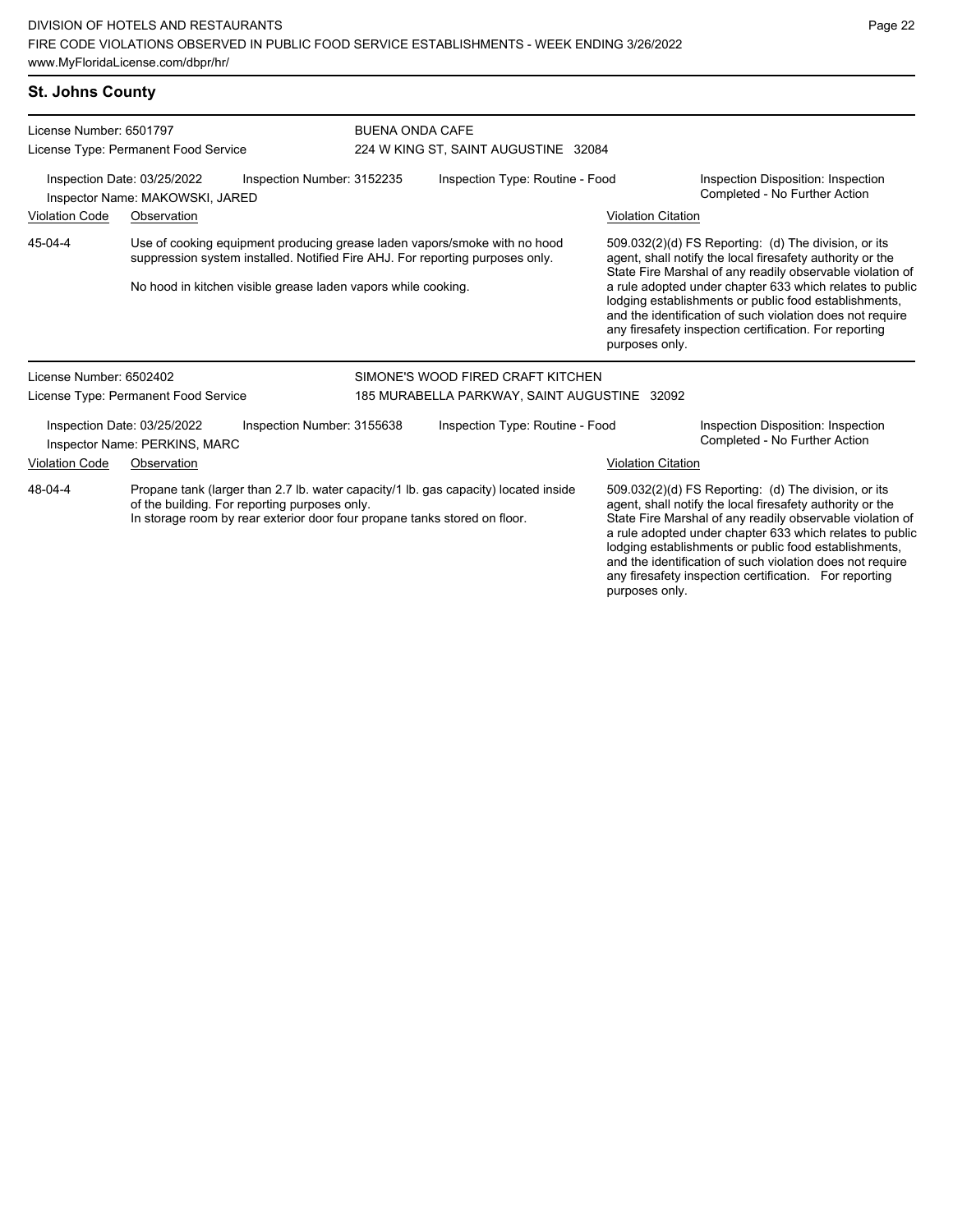# **St. Johns County**

| License Number: 6501797                                                                                                               |                                                              |                                                               | <b>BUENA ONDA CAFE</b>                                                                                                                                     |                           |                                                                                                                                                                                                                                                                                                                                                                                                                                              |  |  |
|---------------------------------------------------------------------------------------------------------------------------------------|--------------------------------------------------------------|---------------------------------------------------------------|------------------------------------------------------------------------------------------------------------------------------------------------------------|---------------------------|----------------------------------------------------------------------------------------------------------------------------------------------------------------------------------------------------------------------------------------------------------------------------------------------------------------------------------------------------------------------------------------------------------------------------------------------|--|--|
|                                                                                                                                       | License Type: Permanent Food Service                         |                                                               | 224 W KING ST, SAINT AUGUSTINE 32084                                                                                                                       |                           |                                                                                                                                                                                                                                                                                                                                                                                                                                              |  |  |
| Inspection Date: 03/25/2022<br>Inspection Number: 3152235<br>Inspector Name: MAKOWSKI, JARED                                          |                                                              |                                                               | Inspection Type: Routine - Food                                                                                                                            |                           | Inspection Disposition: Inspection<br>Completed - No Further Action                                                                                                                                                                                                                                                                                                                                                                          |  |  |
| <b>Violation Code</b><br>Observation                                                                                                  |                                                              |                                                               |                                                                                                                                                            | <b>Violation Citation</b> |                                                                                                                                                                                                                                                                                                                                                                                                                                              |  |  |
| 45-04-4                                                                                                                               |                                                              | No hood in kitchen visible grease laden vapors while cooking. | Use of cooking equipment producing grease laden vapors/smoke with no hood<br>suppression system installed. Notified Fire AHJ. For reporting purposes only. |                           | 509.032(2)(d) FS Reporting: (d) The division, or its<br>agent, shall notify the local firesafety authority or the<br>State Fire Marshal of any readily observable violation of<br>a rule adopted under chapter 633 which relates to public<br>lodging establishments or public food establishments,<br>and the identification of such violation does not require<br>any firesafety inspection certification. For reporting<br>purposes only. |  |  |
| License Number: 6502402                                                                                                               |                                                              |                                                               | SIMONE'S WOOD FIRED CRAFT KITCHEN                                                                                                                          |                           |                                                                                                                                                                                                                                                                                                                                                                                                                                              |  |  |
|                                                                                                                                       | License Type: Permanent Food Service                         |                                                               | 185 MURABELLA PARKWAY, SAINT AUGUSTINE 32092                                                                                                               |                           |                                                                                                                                                                                                                                                                                                                                                                                                                                              |  |  |
|                                                                                                                                       | Inspection Date: 03/25/2022<br>Inspector Name: PERKINS, MARC | Inspection Number: 3155638                                    | Inspection Type: Routine - Food                                                                                                                            |                           | Inspection Disposition: Inspection<br>Completed - No Further Action                                                                                                                                                                                                                                                                                                                                                                          |  |  |
| <b>Violation Code</b><br>Observation                                                                                                  |                                                              |                                                               |                                                                                                                                                            | <b>Violation Citation</b> |                                                                                                                                                                                                                                                                                                                                                                                                                                              |  |  |
| 48-04-4<br>of the building. For reporting purposes only.<br>In storage room by rear exterior door four propane tanks stored on floor. |                                                              |                                                               | Propane tank (larger than 2.7 lb. water capacity/1 lb. gas capacity) located inside                                                                        |                           | 509.032(2)(d) FS Reporting: (d) The division, or its<br>agent, shall notify the local firesafety authority or the<br>State Fire Marshal of any readily observable violation of<br>a rule adopted under chapter 633 which relates to public<br>lodging establishments or public food establishments,<br>and the identification of such violation does not require<br>any firesafety inspection certification. For reporting                   |  |  |